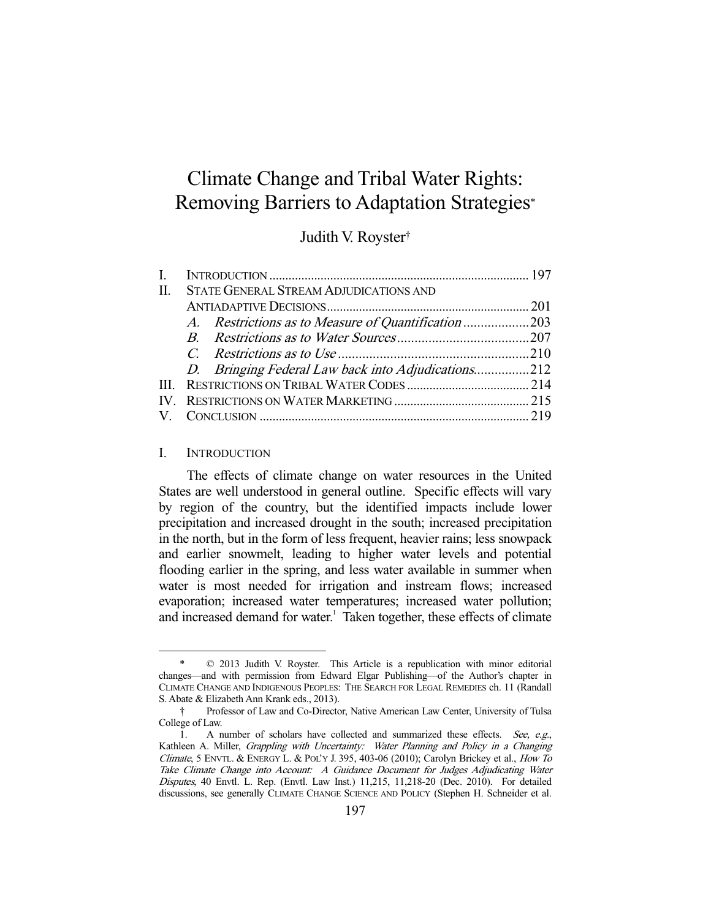# Climate Change and Tribal Water Rights: Removing Barriers to Adaptation Strategies\*

## Judith V. Royster†

| L. |                                            |                                                     |  |
|----|--------------------------------------------|-----------------------------------------------------|--|
|    | II. STATE GENERAL STREAM ADJUDICATIONS AND |                                                     |  |
|    |                                            |                                                     |  |
|    |                                            | A. Restrictions as to Measure of Quantification 203 |  |
|    |                                            |                                                     |  |
|    |                                            |                                                     |  |
|    |                                            | D. Bringing Federal Law back into Adjudications212  |  |
|    |                                            |                                                     |  |
|    |                                            |                                                     |  |
|    |                                            |                                                     |  |

### I. INTRODUCTION

-

 The effects of climate change on water resources in the United States are well understood in general outline. Specific effects will vary by region of the country, but the identified impacts include lower precipitation and increased drought in the south; increased precipitation in the north, but in the form of less frequent, heavier rains; less snowpack and earlier snowmelt, leading to higher water levels and potential flooding earlier in the spring, and less water available in summer when water is most needed for irrigation and instream flows; increased evaporation; increased water temperatures; increased water pollution; and increased demand for water.<sup>1</sup> Taken together, these effects of climate

 $© 2013$  Judith V. Royster. This Article is a republication with minor editorial changes—and with permission from Edward Elgar Publishing—of the Author's chapter in CLIMATE CHANGE AND INDIGENOUS PEOPLES: THE SEARCH FOR LEGAL REMEDIES ch. 11 (Randall S. Abate & Elizabeth Ann Krank eds., 2013).

 <sup>†</sup> Professor of Law and Co-Director, Native American Law Center, University of Tulsa College of Law.

<sup>1.</sup> A number of scholars have collected and summarized these effects. See, e.g., Kathleen A. Miller, Grappling with Uncertainty: Water Planning and Policy in a Changing Climate, 5 ENVTL. & ENERGY L. & POL'Y J. 395, 403-06 (2010); Carolyn Brickey et al., How To Take Climate Change into Account: A Guidance Document for Judges Adjudicating Water Disputes, 40 Envtl. L. Rep. (Envtl. Law Inst.) 11,215, 11,218-20 (Dec. 2010). For detailed discussions, see generally CLIMATE CHANGE SCIENCE AND POLICY (Stephen H. Schneider et al.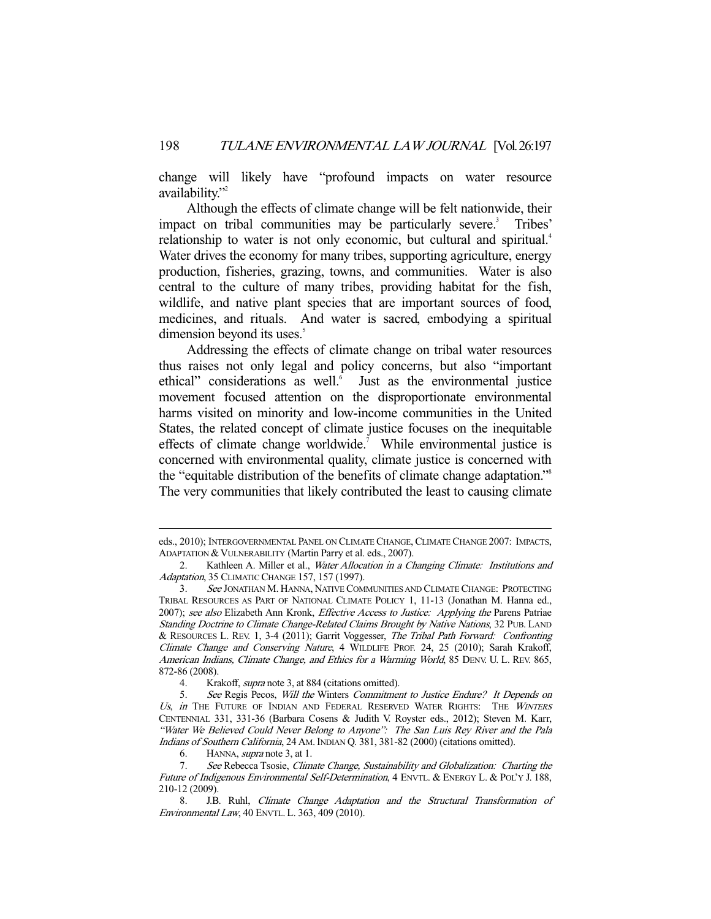change will likely have "profound impacts on water resource availability."

 Although the effects of climate change will be felt nationwide, their impact on tribal communities may be particularly severe.<sup>3</sup> Tribes' relationship to water is not only economic, but cultural and spiritual.<sup>4</sup> Water drives the economy for many tribes, supporting agriculture, energy production, fisheries, grazing, towns, and communities. Water is also central to the culture of many tribes, providing habitat for the fish, wildlife, and native plant species that are important sources of food, medicines, and rituals. And water is sacred, embodying a spiritual dimension beyond its uses. $5$ 

 Addressing the effects of climate change on tribal water resources thus raises not only legal and policy concerns, but also "important ethical" considerations as well.<sup>6</sup> Just as the environmental justice movement focused attention on the disproportionate environmental harms visited on minority and low-income communities in the United States, the related concept of climate justice focuses on the inequitable effects of climate change worldwide.<sup>7</sup> While environmental justice is concerned with environmental quality, climate justice is concerned with the "equitable distribution of the benefits of climate change adaptation."8 The very communities that likely contributed the least to causing climate

eds., 2010); INTERGOVERNMENTAL PANEL ON CLIMATE CHANGE,CLIMATE CHANGE 2007: IMPACTS, ADAPTATION & VULNERABILITY (Martin Parry et al. eds., 2007).

<sup>2.</sup> Kathleen A. Miller et al., Water Allocation in a Changing Climate: Institutions and Adaptation, 35 CLIMATIC CHANGE 157, 157 (1997).

 <sup>3.</sup> See JONATHAN M. HANNA, NATIVE COMMUNITIES AND CLIMATE CHANGE: PROTECTING TRIBAL RESOURCES AS PART OF NATIONAL CLIMATE POLICY 1, 11-13 (Jonathan M. Hanna ed., 2007); see also Elizabeth Ann Kronk, *Effective Access to Justice: Applying the Parens Patriae* Standing Doctrine to Climate Change-Related Claims Brought by Native Nations, 32 PUB. LAND & RESOURCES L. REV. 1, 3-4 (2011); Garrit Voggesser, The Tribal Path Forward: Confronting Climate Change and Conserving Nature, 4 WILDLIFE PROF. 24, 25 (2010); Sarah Krakoff, American Indians, Climate Change, and Ethics for a Warming World, 85 DENV. U. L. REV. 865, 872-86 (2008).

 <sup>4.</sup> Krakoff, supra note 3, at 884 (citations omitted).

 <sup>5.</sup> See Regis Pecos, Will the Winters Commitment to Justice Endure? It Depends on Us, in THE FUTURE OF INDIAN AND FEDERAL RESERVED WATER RIGHTS: THE WINTERS CENTENNIAL 331, 331-36 (Barbara Cosens & Judith V. Royster eds., 2012); Steven M. Karr, "Water We Believed Could Never Belong to Anyone": The San Luis Rey River and the Pala Indians of Southern California, 24 AM. INDIAN Q. 381, 381-82 (2000) (citations omitted).

 <sup>6.</sup> HANNA, supra note 3, at 1.

 <sup>7.</sup> See Rebecca Tsosie, Climate Change, Sustainability and Globalization: Charting the Future of Indigenous Environmental Self-Determination, 4 ENVTL. & ENERGY L. & POL'Y J. 188, 210-12 (2009).

 <sup>8.</sup> J.B. Ruhl, Climate Change Adaptation and the Structural Transformation of Environmental Law, 40 ENVTL. L. 363, 409 (2010).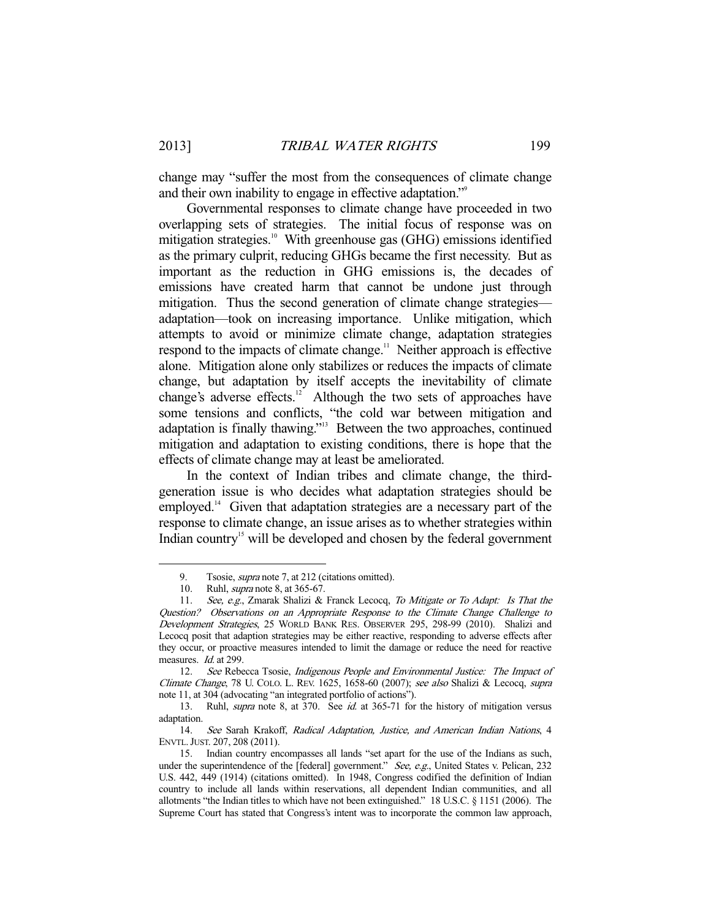change may "suffer the most from the consequences of climate change and their own inability to engage in effective adaptation."<sup>9</sup>

 Governmental responses to climate change have proceeded in two overlapping sets of strategies. The initial focus of response was on mitigation strategies.<sup>10</sup> With greenhouse gas (GHG) emissions identified as the primary culprit, reducing GHGs became the first necessity. But as important as the reduction in GHG emissions is, the decades of emissions have created harm that cannot be undone just through mitigation. Thus the second generation of climate change strategies adaptation—took on increasing importance. Unlike mitigation, which attempts to avoid or minimize climate change, adaptation strategies respond to the impacts of climate change.<sup>11</sup> Neither approach is effective alone. Mitigation alone only stabilizes or reduces the impacts of climate change, but adaptation by itself accepts the inevitability of climate change's adverse effects. $12$  Although the two sets of approaches have some tensions and conflicts, "the cold war between mitigation and adaptation is finally thawing."13 Between the two approaches, continued mitigation and adaptation to existing conditions, there is hope that the effects of climate change may at least be ameliorated.

 In the context of Indian tribes and climate change, the thirdgeneration issue is who decides what adaptation strategies should be employed.<sup>14</sup> Given that adaptation strategies are a necessary part of the response to climate change, an issue arises as to whether strategies within Indian country<sup>15</sup> will be developed and chosen by the federal government

 <sup>9.</sup> Tsosie, supra note 7, at 212 (citations omitted).

 <sup>10.</sup> Ruhl, supra note 8, at 365-67.

<sup>11.</sup> See, e.g., Zmarak Shalizi & Franck Lecocq, To Mitigate or To Adapt: Is That the Question? Observations on an Appropriate Response to the Climate Change Challenge to Development Strategies, 25 WORLD BANK RES. OBSERVER 295, 298-99 (2010). Shalizi and Lecocq posit that adaption strategies may be either reactive, responding to adverse effects after they occur, or proactive measures intended to limit the damage or reduce the need for reactive measures. Id. at 299.

<sup>12.</sup> See Rebecca Tsosie, Indigenous People and Environmental Justice: The Impact of Climate Change, 78 U. COLO. L. REV. 1625, 1658-60 (2007); see also Shalizi & Lecocq, supra note 11, at 304 (advocating "an integrated portfolio of actions").

<sup>13.</sup> Ruhl, *supra* note 8, at 370. See *id.* at 365-71 for the history of mitigation versus adaptation.

 <sup>14.</sup> See Sarah Krakoff, Radical Adaptation, Justice, and American Indian Nations, 4 ENVTL.JUST. 207, 208 (2011).

 <sup>15.</sup> Indian country encompasses all lands "set apart for the use of the Indians as such, under the superintendence of the [federal] government." See, e.g., United States v. Pelican, 232 U.S. 442, 449 (1914) (citations omitted). In 1948, Congress codified the definition of Indian country to include all lands within reservations, all dependent Indian communities, and all allotments "the Indian titles to which have not been extinguished." 18 U.S.C. § 1151 (2006). The Supreme Court has stated that Congress's intent was to incorporate the common law approach,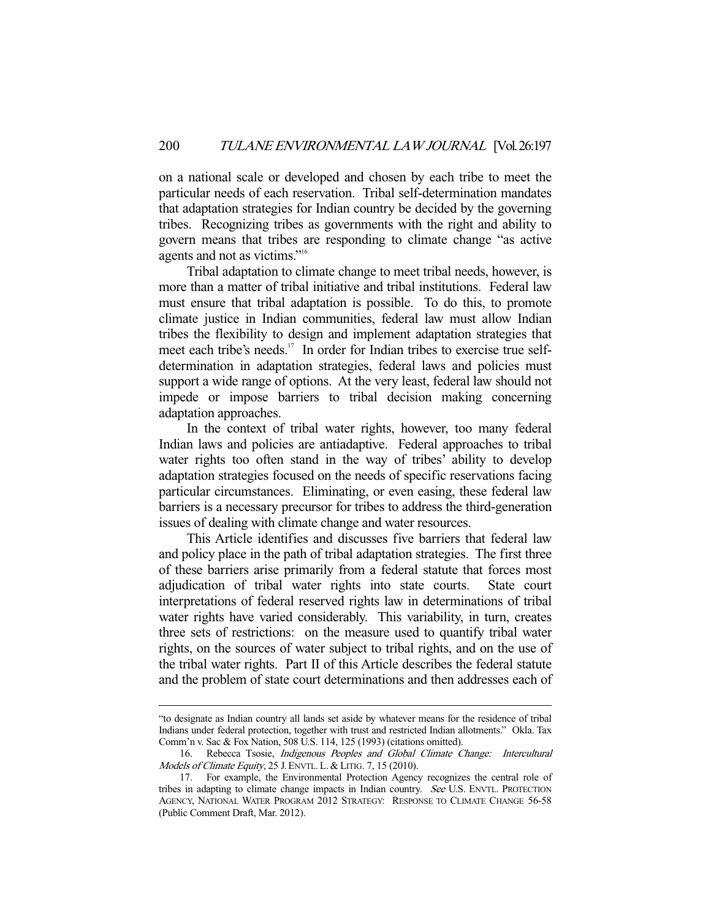on a national scale or developed and chosen by each tribe to meet the particular needs of each reservation. Tribal self-determination mandates that adaptation strategies for Indian country be decided by the governing tribes. Recognizing tribes as governments with the right and ability to govern means that tribes are responding to climate change "as active agents and not as victims."16

 Tribal adaptation to climate change to meet tribal needs, however, is more than a matter of tribal initiative and tribal institutions. Federal law must ensure that tribal adaptation is possible. To do this, to promote climate justice in Indian communities, federal law must allow Indian tribes the flexibility to design and implement adaptation strategies that meet each tribe's needs.<sup>17</sup> In order for Indian tribes to exercise true selfdetermination in adaptation strategies, federal laws and policies must support a wide range of options. At the very least, federal law should not impede or impose barriers to tribal decision making concerning adaptation approaches.

 In the context of tribal water rights, however, too many federal Indian laws and policies are antiadaptive. Federal approaches to tribal water rights too often stand in the way of tribes' ability to develop adaptation strategies focused on the needs of specific reservations facing particular circumstances. Eliminating, or even easing, these federal law barriers is a necessary precursor for tribes to address the third-generation issues of dealing with climate change and water resources.

 This Article identifies and discusses five barriers that federal law and policy place in the path of tribal adaptation strategies. The first three of these barriers arise primarily from a federal statute that forces most adjudication of tribal water rights into state courts. State court interpretations of federal reserved rights law in determinations of tribal water rights have varied considerably. This variability, in turn, creates three sets of restrictions: on the measure used to quantify tribal water rights, on the sources of water subject to tribal rights, and on the use of the tribal water rights. Part II of this Article describes the federal statute and the problem of state court determinations and then addresses each of

<sup>&</sup>quot;to designate as Indian country all lands set aside by whatever means for the residence of tribal Indians under federal protection, together with trust and restricted Indian allotments." Okla. Tax Comm'n v. Sac & Fox Nation, 508 U.S. 114, 125 (1993) (citations omitted).

 <sup>16.</sup> Rebecca Tsosie, Indigenous Peoples and Global Climate Change: Intercultural Models of Climate Equity, 25 J. ENVTL. L. & LITIG. 7, 15 (2010).

 <sup>17.</sup> For example, the Environmental Protection Agency recognizes the central role of tribes in adapting to climate change impacts in Indian country. See U.S. ENVTL. PROTECTION AGENCY, NATIONAL WATER PROGRAM 2012 STRATEGY: RESPONSE TO CLIMATE CHANGE 56-58 (Public Comment Draft, Mar. 2012).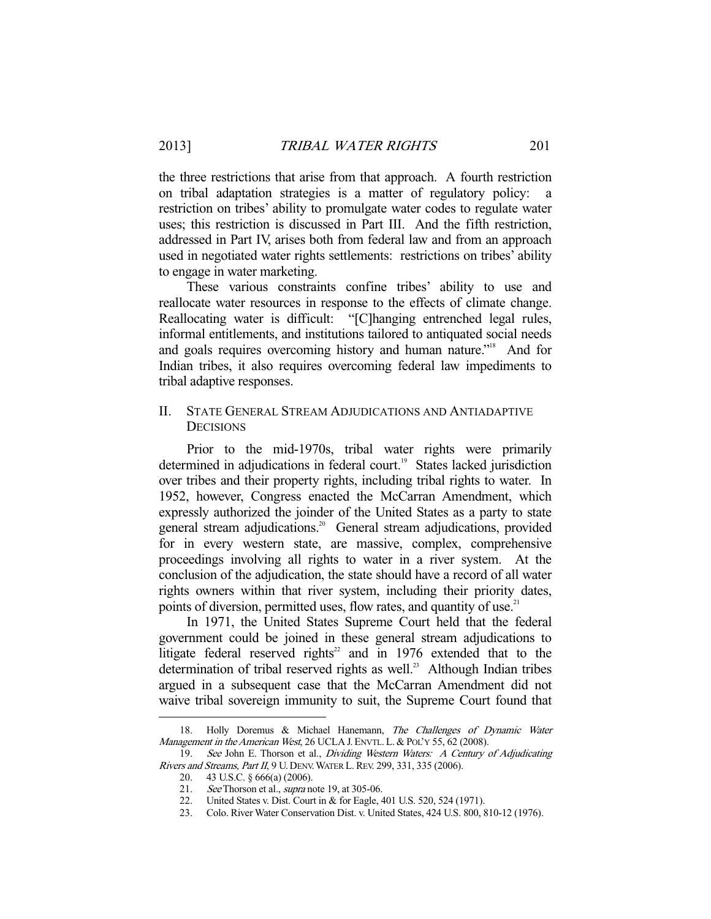the three restrictions that arise from that approach. A fourth restriction on tribal adaptation strategies is a matter of regulatory policy: a restriction on tribes' ability to promulgate water codes to regulate water uses; this restriction is discussed in Part III. And the fifth restriction, addressed in Part IV, arises both from federal law and from an approach used in negotiated water rights settlements: restrictions on tribes' ability to engage in water marketing.

 These various constraints confine tribes' ability to use and reallocate water resources in response to the effects of climate change. Reallocating water is difficult: "[C]hanging entrenched legal rules, informal entitlements, and institutions tailored to antiquated social needs and goals requires overcoming history and human nature."18 And for Indian tribes, it also requires overcoming federal law impediments to tribal adaptive responses.

## II. STATE GENERAL STREAM ADJUDICATIONS AND ANTIADAPTIVE **DECISIONS**

 Prior to the mid-1970s, tribal water rights were primarily determined in adjudications in federal court.<sup>19</sup> States lacked jurisdiction over tribes and their property rights, including tribal rights to water. In 1952, however, Congress enacted the McCarran Amendment, which expressly authorized the joinder of the United States as a party to state general stream adjudications.<sup>20</sup> General stream adjudications, provided for in every western state, are massive, complex, comprehensive proceedings involving all rights to water in a river system. At the conclusion of the adjudication, the state should have a record of all water rights owners within that river system, including their priority dates, points of diversion, permitted uses, flow rates, and quantity of use.<sup>21</sup>

 In 1971, the United States Supreme Court held that the federal government could be joined in these general stream adjudications to litigate federal reserved rights<sup>22</sup> and in 1976 extended that to the determination of tribal reserved rights as well.<sup>23</sup> Although Indian tribes argued in a subsequent case that the McCarran Amendment did not waive tribal sovereign immunity to suit, the Supreme Court found that

<sup>18.</sup> Holly Doremus & Michael Hanemann, The Challenges of Dynamic Water Management in the American West, 26 UCLA J. ENVTL. L. & POL'Y 55, 62 (2008).

<sup>19.</sup> See John E. Thorson et al., Dividing Western Waters: A Century of Adjudicating Rivers and Streams, Part II, 9 U. DENV. WATER L. REV. 299, 331, 335 (2006).

 <sup>20. 43</sup> U.S.C. § 666(a) (2006).

<sup>21.</sup> See Thorson et al., *supra* note 19, at 305-06.

 <sup>22.</sup> United States v. Dist. Court in & for Eagle, 401 U.S. 520, 524 (1971).

 <sup>23.</sup> Colo. River Water Conservation Dist. v. United States, 424 U.S. 800, 810-12 (1976).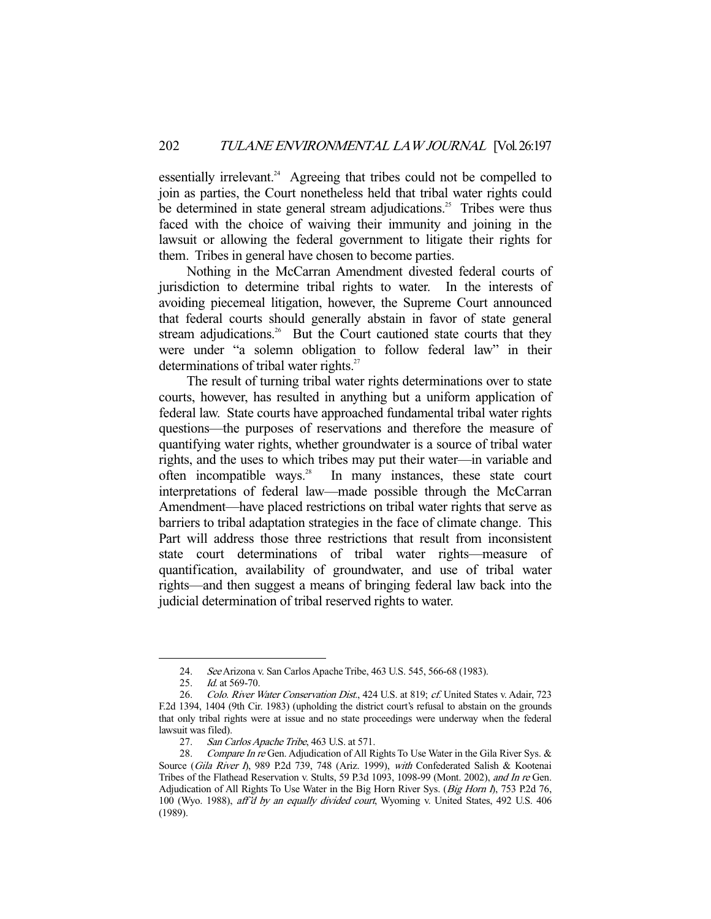essentially irrelevant.<sup>24</sup> Agreeing that tribes could not be compelled to join as parties, the Court nonetheless held that tribal water rights could be determined in state general stream adjudications.<sup>25</sup> Tribes were thus faced with the choice of waiving their immunity and joining in the lawsuit or allowing the federal government to litigate their rights for them. Tribes in general have chosen to become parties.

 Nothing in the McCarran Amendment divested federal courts of jurisdiction to determine tribal rights to water. In the interests of avoiding piecemeal litigation, however, the Supreme Court announced that federal courts should generally abstain in favor of state general stream adjudications.<sup>26</sup> But the Court cautioned state courts that they were under "a solemn obligation to follow federal law" in their determinations of tribal water rights.<sup>27</sup>

 The result of turning tribal water rights determinations over to state courts, however, has resulted in anything but a uniform application of federal law. State courts have approached fundamental tribal water rights questions—the purposes of reservations and therefore the measure of quantifying water rights, whether groundwater is a source of tribal water rights, and the uses to which tribes may put their water—in variable and often incompatible ways.<sup>28</sup> In many instances, these state court interpretations of federal law—made possible through the McCarran Amendment—have placed restrictions on tribal water rights that serve as barriers to tribal adaptation strategies in the face of climate change. This Part will address those three restrictions that result from inconsistent state court determinations of tribal water rights—measure of quantification, availability of groundwater, and use of tribal water rights—and then suggest a means of bringing federal law back into the judicial determination of tribal reserved rights to water.

 <sup>24.</sup> See Arizona v. San Carlos Apache Tribe, 463 U.S. 545, 566-68 (1983).

<sup>25.</sup> *Id.* at 569-70.

<sup>26.</sup> Colo. River Water Conservation Dist., 424 U.S. at 819; cf. United States v. Adair, 723 F.2d 1394, 1404 (9th Cir. 1983) (upholding the district court's refusal to abstain on the grounds that only tribal rights were at issue and no state proceedings were underway when the federal lawsuit was filed).

<sup>27.</sup> San Carlos Apache Tribe, 463 U.S. at 571.

<sup>28.</sup> Compare In re Gen. Adjudication of All Rights To Use Water in the Gila River Sys. & Source (Gila River I), 989 P.2d 739, 748 (Ariz. 1999), with Confederated Salish & Kootenai Tribes of the Flathead Reservation v. Stults, 59 P.3d 1093, 1098-99 (Mont. 2002), and In re Gen. Adjudication of All Rights To Use Water in the Big Horn River Sys. (Big Horn I), 753 P.2d 76, 100 (Wyo. 1988), aff'd by an equally divided court, Wyoming v. United States, 492 U.S. 406 (1989).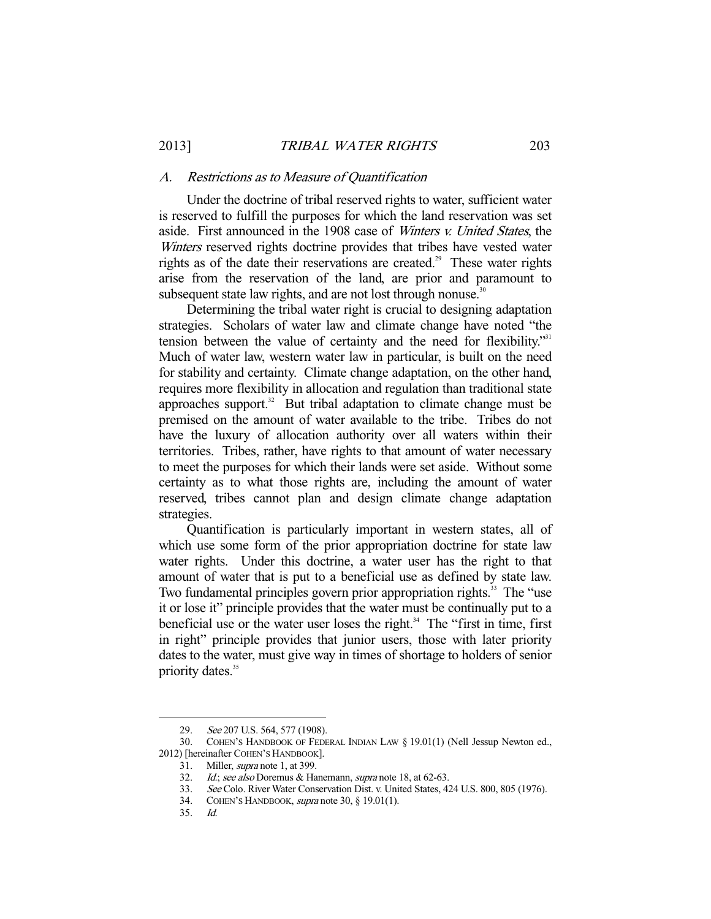#### A. Restrictions as to Measure of Quantification

 Under the doctrine of tribal reserved rights to water, sufficient water is reserved to fulfill the purposes for which the land reservation was set aside. First announced in the 1908 case of Winters v. United States, the Winters reserved rights doctrine provides that tribes have vested water rights as of the date their reservations are created.<sup>29</sup> These water rights arise from the reservation of the land, are prior and paramount to subsequent state law rights, and are not lost through nonuse.<sup>30</sup>

 Determining the tribal water right is crucial to designing adaptation strategies. Scholars of water law and climate change have noted "the tension between the value of certainty and the need for flexibility."<sup>31</sup> Much of water law, western water law in particular, is built on the need for stability and certainty. Climate change adaptation, on the other hand, requires more flexibility in allocation and regulation than traditional state approaches support. $32$  But tribal adaptation to climate change must be premised on the amount of water available to the tribe. Tribes do not have the luxury of allocation authority over all waters within their territories. Tribes, rather, have rights to that amount of water necessary to meet the purposes for which their lands were set aside. Without some certainty as to what those rights are, including the amount of water reserved, tribes cannot plan and design climate change adaptation strategies.

 Quantification is particularly important in western states, all of which use some form of the prior appropriation doctrine for state law water rights. Under this doctrine, a water user has the right to that amount of water that is put to a beneficial use as defined by state law. Two fundamental principles govern prior appropriation rights.<sup>33</sup> The "use it or lose it" principle provides that the water must be continually put to a beneficial use or the water user loses the right. $34$  The "first in time, first in right" principle provides that junior users, those with later priority dates to the water, must give way in times of shortage to holders of senior priority dates.<sup>35</sup>

<sup>29.</sup> See 207 U.S. 564, 577 (1908).

 <sup>30.</sup> COHEN'S HANDBOOK OF FEDERAL INDIAN LAW § 19.01(1) (Nell Jessup Newton ed., 2012) [hereinafter COHEN'S HANDBOOK].

<sup>31.</sup> Miller, *supra* note 1, at 399.

<sup>32.</sup> Id.; see also Doremus & Hanemann, supra note 18, at 62-63.

 <sup>33.</sup> See Colo. River Water Conservation Dist. v. United States, 424 U.S. 800, 805 (1976).

 <sup>34.</sup> COHEN'S HANDBOOK, supra note 30, § 19.01(1).

 <sup>35.</sup> Id.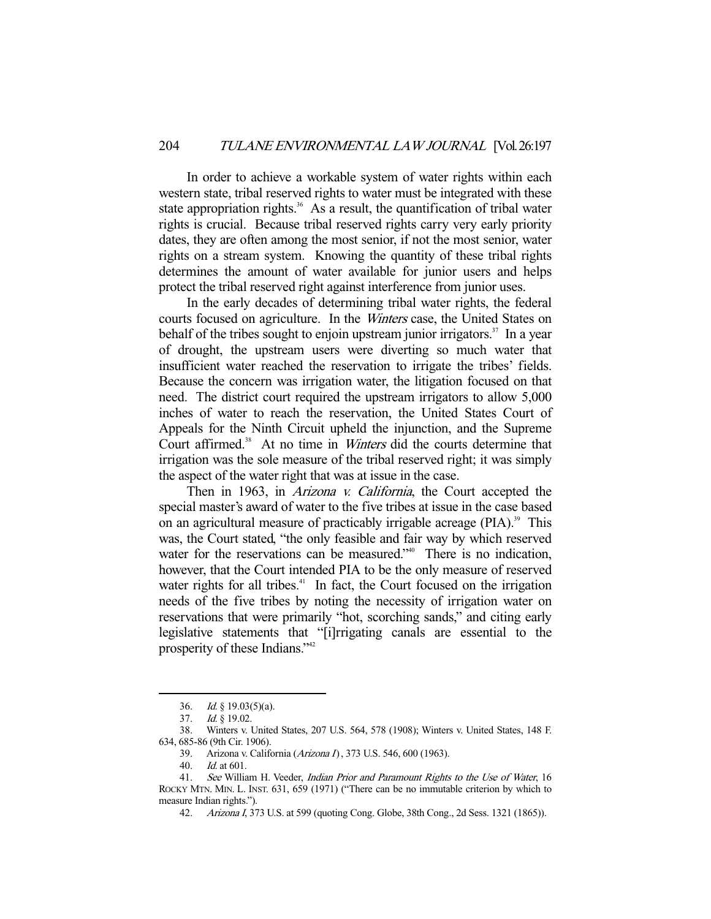In order to achieve a workable system of water rights within each western state, tribal reserved rights to water must be integrated with these state appropriation rights. $36$  As a result, the quantification of tribal water rights is crucial. Because tribal reserved rights carry very early priority dates, they are often among the most senior, if not the most senior, water rights on a stream system. Knowing the quantity of these tribal rights determines the amount of water available for junior users and helps protect the tribal reserved right against interference from junior uses.

 In the early decades of determining tribal water rights, the federal courts focused on agriculture. In the Winters case, the United States on behalf of the tribes sought to enjoin upstream junior irrigators.<sup>37</sup> In a year of drought, the upstream users were diverting so much water that insufficient water reached the reservation to irrigate the tribes' fields. Because the concern was irrigation water, the litigation focused on that need. The district court required the upstream irrigators to allow 5,000 inches of water to reach the reservation, the United States Court of Appeals for the Ninth Circuit upheld the injunction, and the Supreme Court affirmed.<sup>38</sup> At no time in *Winters* did the courts determine that irrigation was the sole measure of the tribal reserved right; it was simply the aspect of the water right that was at issue in the case.

Then in 1963, in *Arizona v. California*, the Court accepted the special master's award of water to the five tribes at issue in the case based on an agricultural measure of practicably irrigable acreage  $(PIA)$ <sup>39</sup>. This was, the Court stated, "the only feasible and fair way by which reserved water for the reservations can be measured.<sup>"40</sup> There is no indication, however, that the Court intended PIA to be the only measure of reserved water rights for all tribes. $41$  In fact, the Court focused on the irrigation needs of the five tribes by noting the necessity of irrigation water on reservations that were primarily "hot, scorching sands," and citing early legislative statements that "[i]rrigating canals are essential to the prosperity of these Indians."<sup>42</sup>

 <sup>36.</sup> Id. § 19.03(5)(a).

<sup>37.</sup> *Id.* § 19.02.

 <sup>38.</sup> Winters v. United States, 207 U.S. 564, 578 (1908); Winters v. United States, 148 F. 634, 685-86 (9th Cir. 1906).

 <sup>39.</sup> Arizona v. California (Arizona I), 373 U.S. 546, 600 (1963).

 <sup>40.</sup> Id. at 601.

<sup>41.</sup> See William H. Veeder, Indian Prior and Paramount Rights to the Use of Water, 16 ROCKY MTN. MIN. L. INST. 631, 659 (1971) ("There can be no immutable criterion by which to measure Indian rights.").

 <sup>42.</sup> Arizona I, 373 U.S. at 599 (quoting Cong. Globe, 38th Cong., 2d Sess. 1321 (1865)).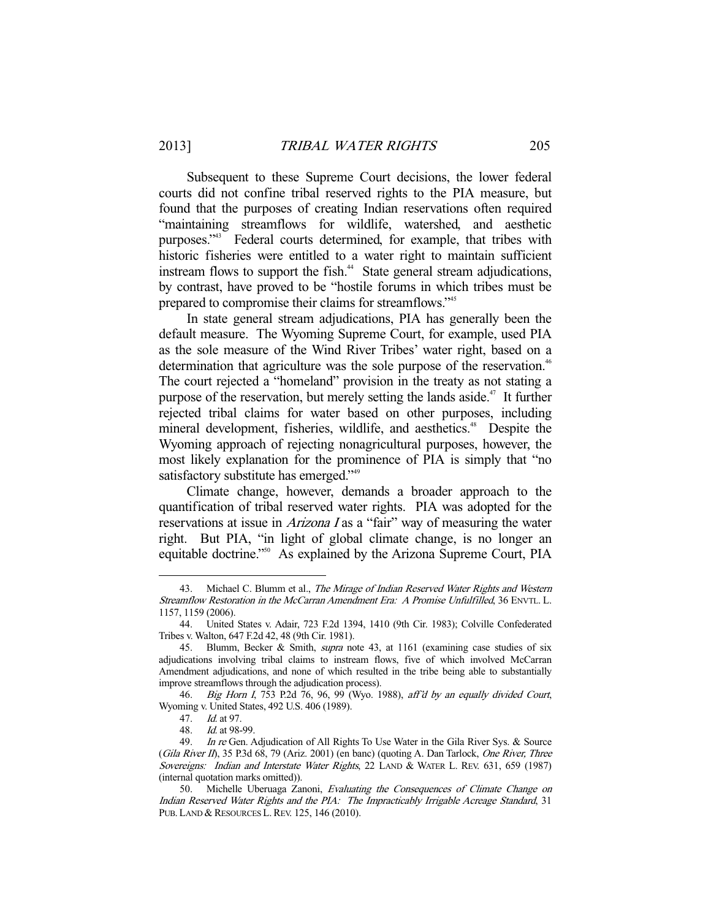Subsequent to these Supreme Court decisions, the lower federal courts did not confine tribal reserved rights to the PIA measure, but found that the purposes of creating Indian reservations often required "maintaining streamflows for wildlife, watershed, and aesthetic purposes."43 Federal courts determined, for example, that tribes with historic fisheries were entitled to a water right to maintain sufficient instream flows to support the fish.<sup>44</sup> State general stream adjudications, by contrast, have proved to be "hostile forums in which tribes must be prepared to compromise their claims for streamflows."45

 In state general stream adjudications, PIA has generally been the default measure. The Wyoming Supreme Court, for example, used PIA as the sole measure of the Wind River Tribes' water right, based on a determination that agriculture was the sole purpose of the reservation.<sup>46</sup> The court rejected a "homeland" provision in the treaty as not stating a purpose of the reservation, but merely setting the lands aside.<sup> $47$ </sup> It further rejected tribal claims for water based on other purposes, including mineral development, fisheries, wildlife, and aesthetics.<sup>48</sup> Despite the Wyoming approach of rejecting nonagricultural purposes, however, the most likely explanation for the prominence of PIA is simply that "no satisfactory substitute has emerged."<sup>49</sup>

 Climate change, however, demands a broader approach to the quantification of tribal reserved water rights. PIA was adopted for the reservations at issue in *Arizona I* as a "fair" way of measuring the water right. But PIA, "in light of global climate change, is no longer an equitable doctrine."<sup>50</sup> As explained by the Arizona Supreme Court, PIA

<sup>43.</sup> Michael C. Blumm et al., The Mirage of Indian Reserved Water Rights and Western Streamflow Restoration in the McCarran Amendment Era: A Promise Unfulfilled, 36 ENVTL. L. 1157, 1159 (2006).

 <sup>44.</sup> United States v. Adair, 723 F.2d 1394, 1410 (9th Cir. 1983); Colville Confederated Tribes v. Walton, 647 F.2d 42, 48 (9th Cir. 1981).

<sup>45.</sup> Blumm, Becker & Smith, *supra* note 43, at 1161 (examining case studies of six adjudications involving tribal claims to instream flows, five of which involved McCarran Amendment adjudications, and none of which resulted in the tribe being able to substantially improve streamflows through the adjudication process).

 <sup>46.</sup> Big Horn I, 753 P.2d 76, 96, 99 (Wyo. 1988), aff'd by an equally divided Court, Wyoming v. United States, 492 U.S. 406 (1989).

 <sup>47.</sup> Id. at 97.

 <sup>48.</sup> Id. at 98-99.

<sup>49.</sup> In re Gen. Adjudication of All Rights To Use Water in the Gila River Sys. & Source (Gila River II), 35 P.3d 68, 79 (Ariz. 2001) (en banc) (quoting A. Dan Tarlock, One River, Three Sovereigns: Indian and Interstate Water Rights, 22 LAND & WATER L. REV. 631, 659 (1987) (internal quotation marks omitted)).

<sup>50.</sup> Michelle Uberuaga Zanoni, Evaluating the Consequences of Climate Change on Indian Reserved Water Rights and the PIA: The Impracticably Irrigable Acreage Standard, 31 PUB. LAND & RESOURCES L.REV. 125, 146 (2010).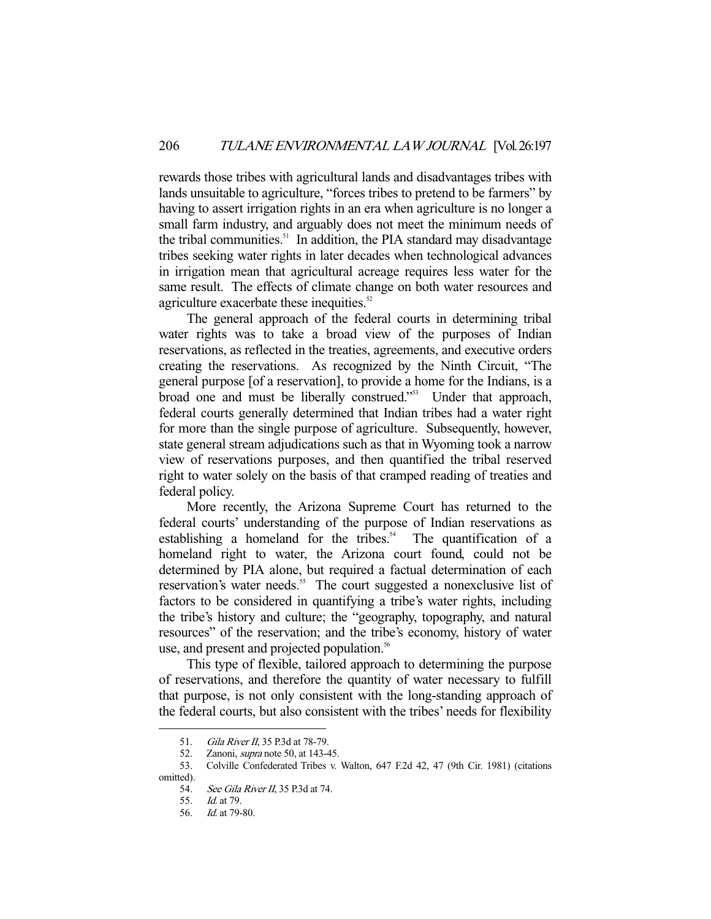rewards those tribes with agricultural lands and disadvantages tribes with lands unsuitable to agriculture, "forces tribes to pretend to be farmers" by having to assert irrigation rights in an era when agriculture is no longer a small farm industry, and arguably does not meet the minimum needs of the tribal communities.<sup>51</sup> In addition, the PIA standard may disadvantage tribes seeking water rights in later decades when technological advances in irrigation mean that agricultural acreage requires less water for the same result. The effects of climate change on both water resources and agriculture exacerbate these inequities.<sup>52</sup>

 The general approach of the federal courts in determining tribal water rights was to take a broad view of the purposes of Indian reservations, as reflected in the treaties, agreements, and executive orders creating the reservations. As recognized by the Ninth Circuit, "The general purpose [of a reservation], to provide a home for the Indians, is a broad one and must be liberally construed."53 Under that approach, federal courts generally determined that Indian tribes had a water right for more than the single purpose of agriculture. Subsequently, however, state general stream adjudications such as that in Wyoming took a narrow view of reservations purposes, and then quantified the tribal reserved right to water solely on the basis of that cramped reading of treaties and federal policy.

 More recently, the Arizona Supreme Court has returned to the federal courts' understanding of the purpose of Indian reservations as establishing a homeland for the tribes.<sup>54</sup> The quantification of a homeland right to water, the Arizona court found, could not be determined by PIA alone, but required a factual determination of each reservation's water needs.<sup>55</sup> The court suggested a nonexclusive list of factors to be considered in quantifying a tribe's water rights, including the tribe's history and culture; the "geography, topography, and natural resources" of the reservation; and the tribe's economy, history of water use, and present and projected population.<sup>56</sup>

 This type of flexible, tailored approach to determining the purpose of reservations, and therefore the quantity of water necessary to fulfill that purpose, is not only consistent with the long-standing approach of the federal courts, but also consistent with the tribes' needs for flexibility

<sup>51.</sup> Gila River II, 35 P.3d at 78-79.

<sup>52.</sup> Zanoni, *supra* note 50, at 143-45.

 <sup>53.</sup> Colville Confederated Tribes v. Walton, 647 F.2d 42, 47 (9th Cir. 1981) (citations omitted).

<sup>54.</sup> *See Gila River II*, 35 P.3d at 74.

 <sup>55.</sup> Id. at 79.

 <sup>56.</sup> Id. at 79-80.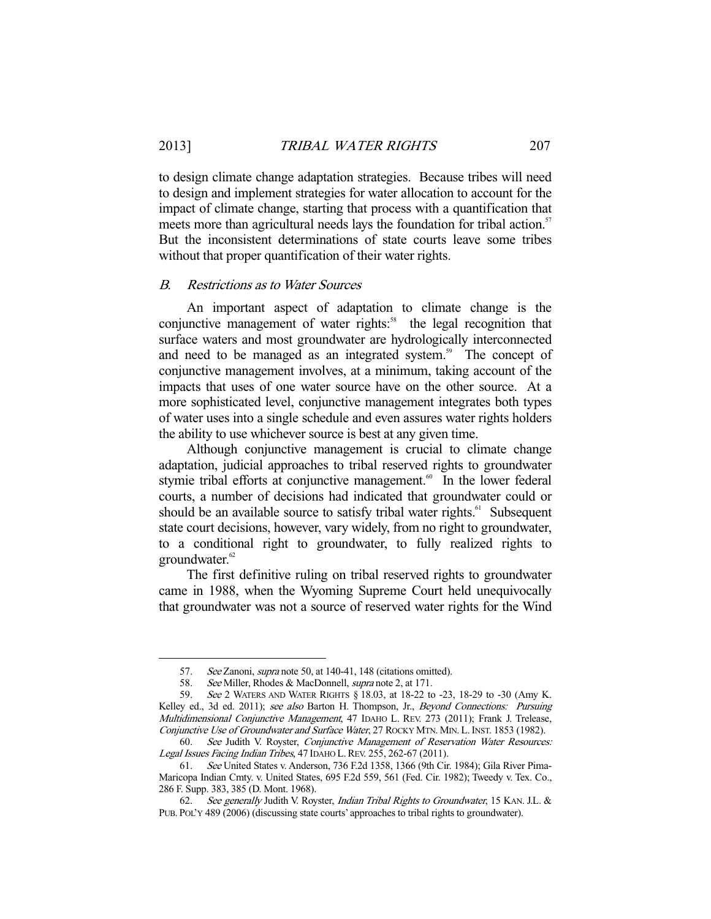to design climate change adaptation strategies. Because tribes will need to design and implement strategies for water allocation to account for the impact of climate change, starting that process with a quantification that meets more than agricultural needs lays the foundation for tribal action.<sup>57</sup> But the inconsistent determinations of state courts leave some tribes without that proper quantification of their water rights.

#### B. Restrictions as to Water Sources

 An important aspect of adaptation to climate change is the conjunctive management of water rights:<sup>58</sup> the legal recognition that surface waters and most groundwater are hydrologically interconnected and need to be managed as an integrated system.<sup>59</sup> The concept of conjunctive management involves, at a minimum, taking account of the impacts that uses of one water source have on the other source. At a more sophisticated level, conjunctive management integrates both types of water uses into a single schedule and even assures water rights holders the ability to use whichever source is best at any given time.

 Although conjunctive management is crucial to climate change adaptation, judicial approaches to tribal reserved rights to groundwater stymie tribal efforts at conjunctive management.<sup>60</sup> In the lower federal courts, a number of decisions had indicated that groundwater could or should be an available source to satisfy tribal water rights.<sup>61</sup> Subsequent state court decisions, however, vary widely, from no right to groundwater, to a conditional right to groundwater, to fully realized rights to groundwater.<sup>62</sup>

 The first definitive ruling on tribal reserved rights to groundwater came in 1988, when the Wyoming Supreme Court held unequivocally that groundwater was not a source of reserved water rights for the Wind

<sup>57.</sup> See Zanoni, *supra* note 50, at 140-41, 148 (citations omitted).

 <sup>58.</sup> See Miller, Rhodes & MacDonnell, supra note 2, at 171.

<sup>59.</sup> See 2 WATERS AND WATER RIGHTS § 18.03, at 18-22 to -23, 18-29 to -30 (Amy K. Kelley ed., 3d ed. 2011); see also Barton H. Thompson, Jr., Beyond Connections: Pursuing Multidimensional Conjunctive Management, 47 IDAHO L. REV. 273 (2011); Frank J. Trelease, Conjunctive Use of Groundwater and Surface Water, 27 ROCKY MTN. MIN.L.INST. 1853 (1982).

<sup>60.</sup> See Judith V. Royster, Conjunctive Management of Reservation Water Resources: Legal Issues Facing Indian Tribes, 47 IDAHO L. REV. 255, 262-67 (2011).

 <sup>61.</sup> See United States v. Anderson, 736 F.2d 1358, 1366 (9th Cir. 1984); Gila River Pima-Maricopa Indian Cmty. v. United States, 695 F.2d 559, 561 (Fed. Cir. 1982); Tweedy v. Tex. Co., 286 F. Supp. 383, 385 (D. Mont. 1968).

 <sup>62.</sup> See generally Judith V. Royster, Indian Tribal Rights to Groundwater, 15 KAN. J.L. & PUB. POL'Y 489 (2006) (discussing state courts' approaches to tribal rights to groundwater).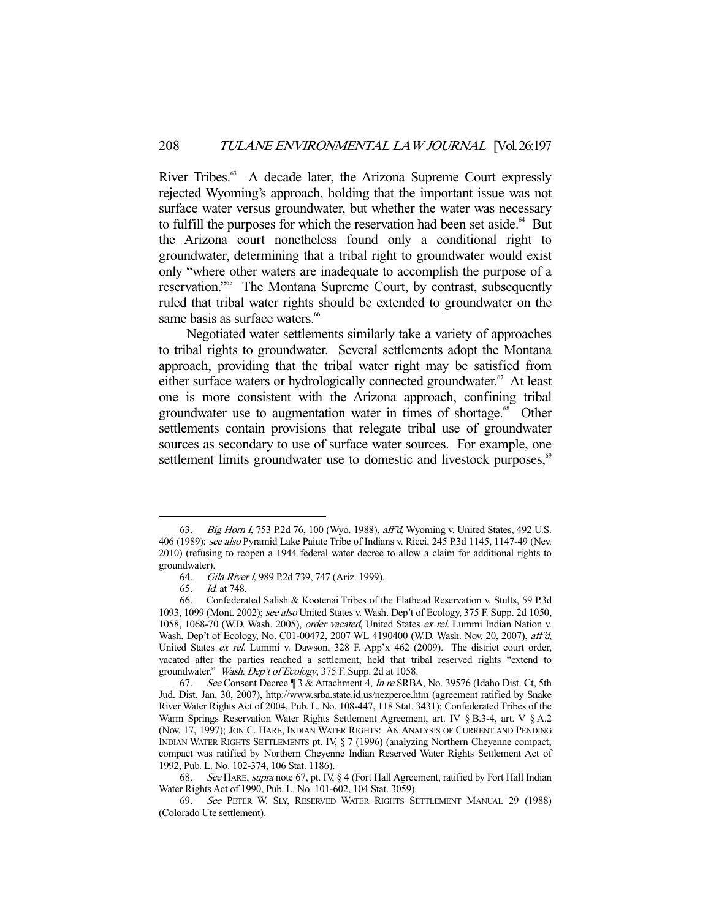River Tribes.<sup>63</sup> A decade later, the Arizona Supreme Court expressly rejected Wyoming's approach, holding that the important issue was not surface water versus groundwater, but whether the water was necessary to fulfill the purposes for which the reservation had been set aside.<sup>64</sup> But the Arizona court nonetheless found only a conditional right to groundwater, determining that a tribal right to groundwater would exist only "where other waters are inadequate to accomplish the purpose of a reservation."<sup>65</sup> The Montana Supreme Court, by contrast, subsequently ruled that tribal water rights should be extended to groundwater on the same basis as surface waters.<sup>66</sup>

 Negotiated water settlements similarly take a variety of approaches to tribal rights to groundwater. Several settlements adopt the Montana approach, providing that the tribal water right may be satisfied from either surface waters or hydrologically connected groundwater.<sup>67</sup> At least one is more consistent with the Arizona approach, confining tribal groundwater use to augmentation water in times of shortage.<sup>68</sup> Other settlements contain provisions that relegate tribal use of groundwater sources as secondary to use of surface water sources. For example, one settlement limits groundwater use to domestic and livestock purposes,<sup>69</sup>

 <sup>63.</sup> Big Horn I, 753 P.2d 76, 100 (Wyo. 1988), aff'd, Wyoming v. United States, 492 U.S. 406 (1989); see also Pyramid Lake Paiute Tribe of Indians v. Ricci, 245 P.3d 1145, 1147-49 (Nev. 2010) (refusing to reopen a 1944 federal water decree to allow a claim for additional rights to groundwater).

 <sup>64.</sup> Gila River I, 989 P.2d 739, 747 (Ariz. 1999).

 <sup>65.</sup> Id. at 748.

 <sup>66.</sup> Confederated Salish & Kootenai Tribes of the Flathead Reservation v. Stults, 59 P.3d 1093, 1099 (Mont. 2002); see also United States v. Wash. Dep't of Ecology, 375 F. Supp. 2d 1050, 1058, 1068-70 (W.D. Wash. 2005), order vacated, United States ex rel. Lummi Indian Nation v. Wash. Dep't of Ecology, No. C01-00472, 2007 WL 4190400 (W.D. Wash. Nov. 20, 2007), aff'd, United States ex rel. Lummi v. Dawson, 328 F. App'x 462 (2009). The district court order, vacated after the parties reached a settlement, held that tribal reserved rights "extend to groundwater." Wash. Dep't of Ecology, 375 F. Supp. 2d at 1058.

<sup>67.</sup> See Consent Decree ¶ 3 & Attachment 4, *In re* SRBA, No. 39576 (Idaho Dist. Ct, 5th Jud. Dist. Jan. 30, 2007), http://www.srba.state.id.us/nezperce.htm (agreement ratified by Snake River Water Rights Act of 2004, Pub. L. No. 108-447, 118 Stat. 3431); Confederated Tribes of the Warm Springs Reservation Water Rights Settlement Agreement, art. IV § B.3-4, art. V § A.2 (Nov. 17, 1997); JON C. HARE, INDIAN WATER RIGHTS: AN ANALYSIS OF CURRENT AND PENDING INDIAN WATER RIGHTS SETTLEMENTS pt. IV, § 7 (1996) (analyzing Northern Cheyenne compact; compact was ratified by Northern Cheyenne Indian Reserved Water Rights Settlement Act of 1992, Pub. L. No. 102-374, 106 Stat. 1186).

<sup>68.</sup> See HARE, supra note 67, pt. IV, § 4 (Fort Hall Agreement, ratified by Fort Hall Indian Water Rights Act of 1990, Pub. L. No. 101-602, 104 Stat. 3059).

 <sup>69.</sup> See PETER W. SLY, RESERVED WATER RIGHTS SETTLEMENT MANUAL 29 (1988) (Colorado Ute settlement).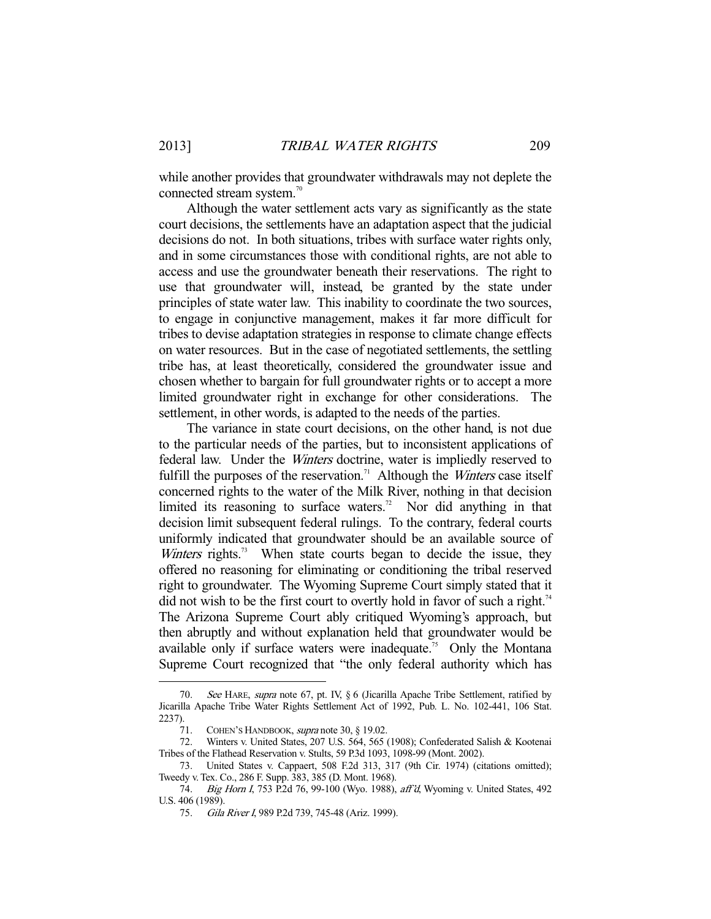while another provides that groundwater withdrawals may not deplete the connected stream system.<sup>70</sup>

 Although the water settlement acts vary as significantly as the state court decisions, the settlements have an adaptation aspect that the judicial decisions do not. In both situations, tribes with surface water rights only, and in some circumstances those with conditional rights, are not able to access and use the groundwater beneath their reservations. The right to use that groundwater will, instead, be granted by the state under principles of state water law. This inability to coordinate the two sources, to engage in conjunctive management, makes it far more difficult for tribes to devise adaptation strategies in response to climate change effects on water resources. But in the case of negotiated settlements, the settling tribe has, at least theoretically, considered the groundwater issue and chosen whether to bargain for full groundwater rights or to accept a more limited groundwater right in exchange for other considerations. The settlement, in other words, is adapted to the needs of the parties.

 The variance in state court decisions, on the other hand, is not due to the particular needs of the parties, but to inconsistent applications of federal law. Under the Winters doctrine, water is impliedly reserved to fulfill the purposes of the reservation.<sup>71</sup> Although the *Winters* case itself concerned rights to the water of the Milk River, nothing in that decision limited its reasoning to surface waters.<sup>72</sup> Nor did anything in that decision limit subsequent federal rulings. To the contrary, federal courts uniformly indicated that groundwater should be an available source of *Winters* rights.<sup>73</sup> When state courts began to decide the issue, they offered no reasoning for eliminating or conditioning the tribal reserved right to groundwater. The Wyoming Supreme Court simply stated that it did not wish to be the first court to overtly hold in favor of such a right.<sup>74</sup> The Arizona Supreme Court ably critiqued Wyoming's approach, but then abruptly and without explanation held that groundwater would be available only if surface waters were inadequate.<sup>75</sup> Only the Montana Supreme Court recognized that "the only federal authority which has

 <sup>70.</sup> See HARE, supra note 67, pt. IV, § 6 (Jicarilla Apache Tribe Settlement, ratified by Jicarilla Apache Tribe Water Rights Settlement Act of 1992, Pub. L. No. 102-441, 106 Stat. 2237).

 <sup>71.</sup> COHEN'S HANDBOOK, supra note 30, § 19.02.

 <sup>72.</sup> Winters v. United States, 207 U.S. 564, 565 (1908); Confederated Salish & Kootenai Tribes of the Flathead Reservation v. Stults, 59 P.3d 1093, 1098-99 (Mont. 2002).

 <sup>73.</sup> United States v. Cappaert, 508 F.2d 313, 317 (9th Cir. 1974) (citations omitted); Tweedy v. Tex. Co., 286 F. Supp. 383, 385 (D. Mont. 1968).

<sup>74.</sup> Big Horn I, 753 P.2d 76, 99-100 (Wyo. 1988), aff'd, Wyoming v. United States, 492 U.S. 406 (1989).

 <sup>75.</sup> Gila River I, 989 P.2d 739, 745-48 (Ariz. 1999).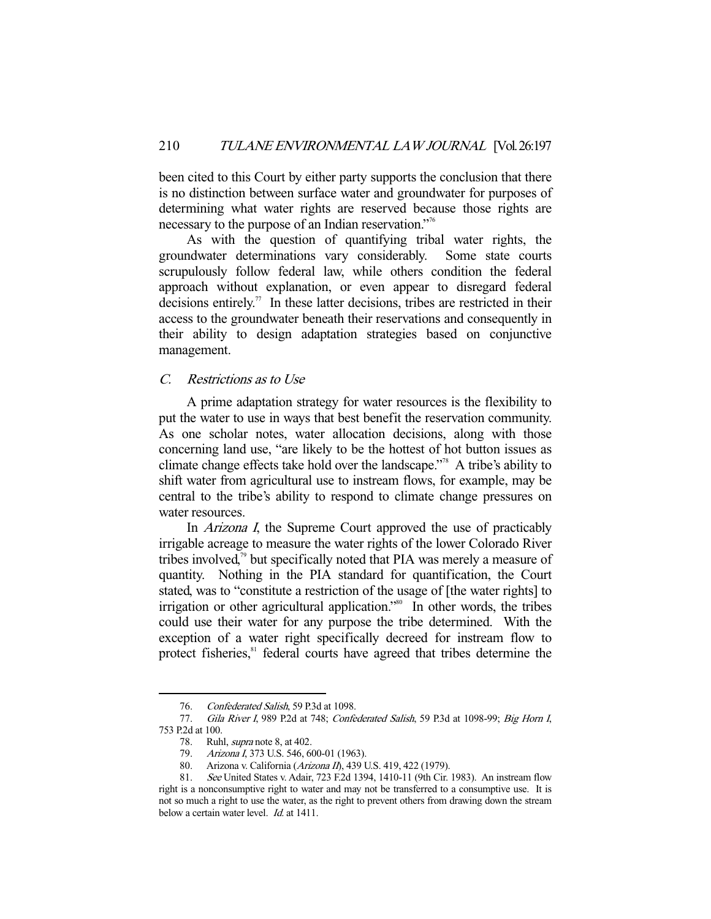been cited to this Court by either party supports the conclusion that there is no distinction between surface water and groundwater for purposes of determining what water rights are reserved because those rights are necessary to the purpose of an Indian reservation."76

 As with the question of quantifying tribal water rights, the groundwater determinations vary considerably. Some state courts scrupulously follow federal law, while others condition the federal approach without explanation, or even appear to disregard federal decisions entirely.<sup>77</sup> In these latter decisions, tribes are restricted in their access to the groundwater beneath their reservations and consequently in their ability to design adaptation strategies based on conjunctive management.

## C. Restrictions as to Use

 A prime adaptation strategy for water resources is the flexibility to put the water to use in ways that best benefit the reservation community. As one scholar notes, water allocation decisions, along with those concerning land use, "are likely to be the hottest of hot button issues as climate change effects take hold over the landscape."78 A tribe's ability to shift water from agricultural use to instream flows, for example, may be central to the tribe's ability to respond to climate change pressures on water resources.

In *Arizona I*, the Supreme Court approved the use of practicably irrigable acreage to measure the water rights of the lower Colorado River tribes involved,<sup>79</sup> but specifically noted that PIA was merely a measure of quantity. Nothing in the PIA standard for quantification, the Court stated, was to "constitute a restriction of the usage of [the water rights] to irrigation or other agricultural application."<sup>80</sup> In other words, the tribes could use their water for any purpose the tribe determined. With the exception of a water right specifically decreed for instream flow to protect fisheries,<sup>81</sup> federal courts have agreed that tribes determine the

 <sup>76.</sup> Confederated Salish, 59 P.3d at 1098.

<sup>77.</sup> Gila River I, 989 P.2d at 748; Confederated Salish, 59 P.3d at 1098-99; Big Horn I, 753 P.2d at 100.

<sup>78.</sup> Ruhl, *supra* note 8, at 402.

 <sup>79.</sup> Arizona I, 373 U.S. 546, 600-01 (1963).

<sup>80.</sup> Arizona v. California (Arizona II), 439 U.S. 419, 422 (1979).

 <sup>81.</sup> See United States v. Adair, 723 F.2d 1394, 1410-11 (9th Cir. 1983). An instream flow right is a nonconsumptive right to water and may not be transferred to a consumptive use. It is not so much a right to use the water, as the right to prevent others from drawing down the stream below a certain water level. *Id.* at 1411.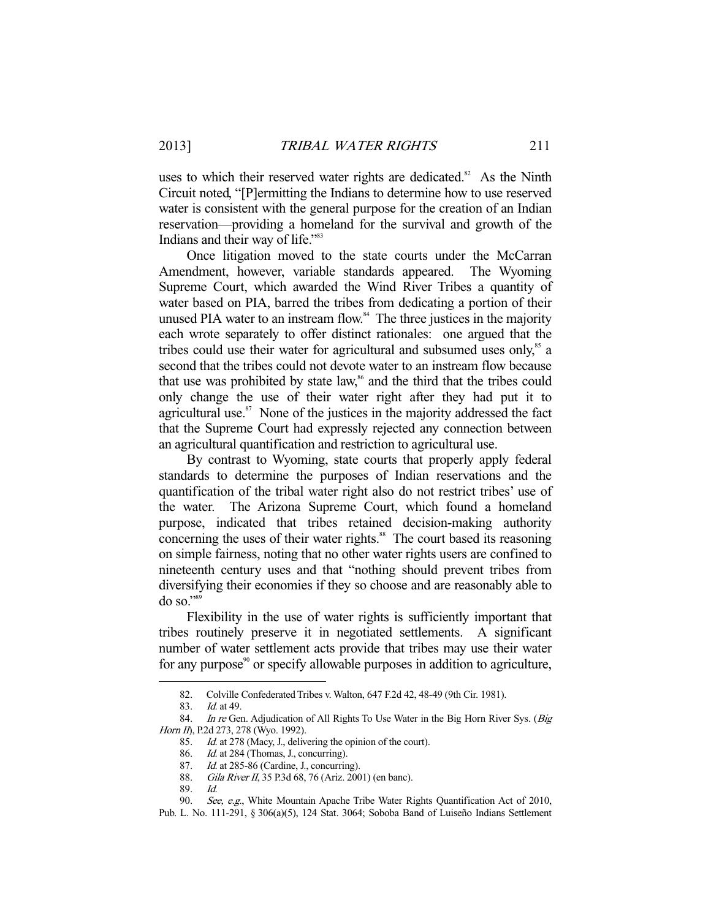uses to which their reserved water rights are dedicated.<sup>82</sup> As the Ninth Circuit noted, "[P]ermitting the Indians to determine how to use reserved water is consistent with the general purpose for the creation of an Indian reservation—providing a homeland for the survival and growth of the Indians and their way of life."83

 Once litigation moved to the state courts under the McCarran Amendment, however, variable standards appeared. The Wyoming Supreme Court, which awarded the Wind River Tribes a quantity of water based on PIA, barred the tribes from dedicating a portion of their unused PIA water to an instream flow.<sup>84</sup> The three justices in the majority each wrote separately to offer distinct rationales: one argued that the tribes could use their water for agricultural and subsumed uses only, $\delta$ <sup>85</sup> a second that the tribes could not devote water to an instream flow because that use was prohibited by state law,<sup>86</sup> and the third that the tribes could only change the use of their water right after they had put it to agricultural use. $87$  None of the justices in the majority addressed the fact that the Supreme Court had expressly rejected any connection between an agricultural quantification and restriction to agricultural use.

 By contrast to Wyoming, state courts that properly apply federal standards to determine the purposes of Indian reservations and the quantification of the tribal water right also do not restrict tribes' use of the water. The Arizona Supreme Court, which found a homeland purpose, indicated that tribes retained decision-making authority concerning the uses of their water rights.<sup>88</sup> The court based its reasoning on simple fairness, noting that no other water rights users are confined to nineteenth century uses and that "nothing should prevent tribes from diversifying their economies if they so choose and are reasonably able to  $\sigma$  so."<sup>89</sup>

 Flexibility in the use of water rights is sufficiently important that tribes routinely preserve it in negotiated settlements. A significant number of water settlement acts provide that tribes may use their water for any purpose<sup>90</sup> or specify allowable purposes in addition to agriculture,

 <sup>82.</sup> Colville Confederated Tribes v. Walton, 647 F.2d 42, 48-49 (9th Cir. 1981).

 <sup>83.</sup> Id. at 49.

<sup>84.</sup> In re Gen. Adjudication of All Rights To Use Water in the Big Horn River Sys. (Big Horn II), P.2d 273, 278 (Wyo. 1992).

<sup>85.</sup> *Id.* at 278 (Macy, J., delivering the opinion of the court).

<sup>86.</sup> Id. at 284 (Thomas, J., concurring).

<sup>87.</sup> Id. at 285-86 (Cardine, J., concurring).

 <sup>88.</sup> Gila River II, 35 P.3d 68, 76 (Ariz. 2001) (en banc).

 <sup>89.</sup> Id.

 <sup>90.</sup> See, e.g., White Mountain Apache Tribe Water Rights Quantification Act of 2010,

Pub. L. No. 111-291, § 306(a)(5), 124 Stat. 3064; Soboba Band of Luiseño Indians Settlement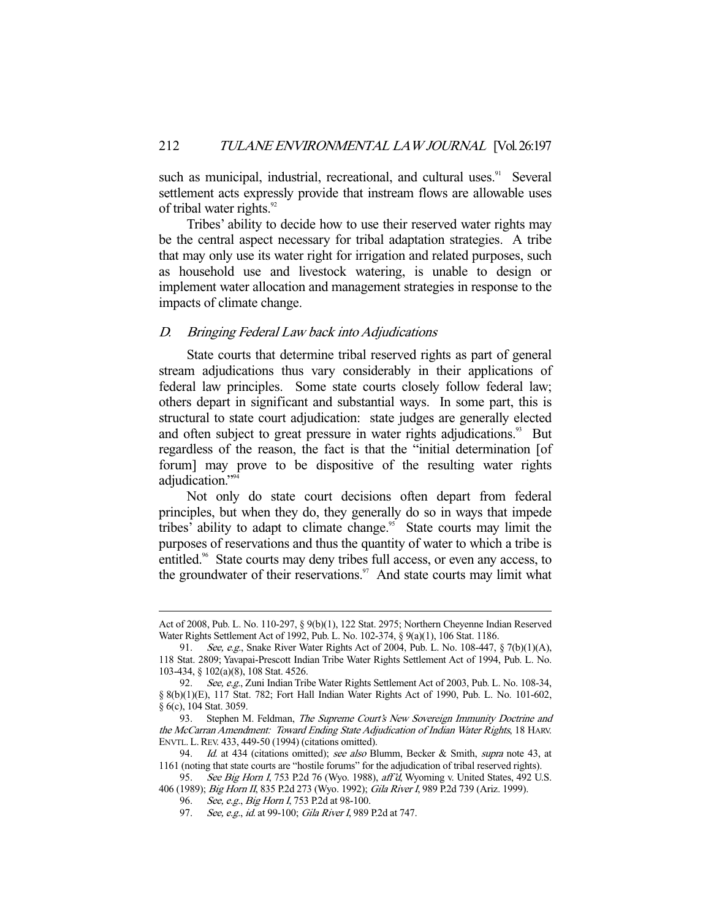such as municipal, industrial, recreational, and cultural uses.<sup>91</sup> Several settlement acts expressly provide that instream flows are allowable uses of tribal water rights.<sup>92</sup>

 Tribes' ability to decide how to use their reserved water rights may be the central aspect necessary for tribal adaptation strategies. A tribe that may only use its water right for irrigation and related purposes, such as household use and livestock watering, is unable to design or implement water allocation and management strategies in response to the impacts of climate change.

## D. Bringing Federal Law back into Adjudications

 State courts that determine tribal reserved rights as part of general stream adjudications thus vary considerably in their applications of federal law principles. Some state courts closely follow federal law; others depart in significant and substantial ways. In some part, this is structural to state court adjudication: state judges are generally elected and often subject to great pressure in water rights adjudications.<sup>93</sup> But regardless of the reason, the fact is that the "initial determination [of forum] may prove to be dispositive of the resulting water rights adjudication."<sup>9</sup>

 Not only do state court decisions often depart from federal principles, but when they do, they generally do so in ways that impede tribes' ability to adapt to climate change.<sup>95</sup> State courts may limit the purposes of reservations and thus the quantity of water to which a tribe is entitled.<sup>96</sup> State courts may deny tribes full access, or even any access, to the groundwater of their reservations.<sup>97</sup> And state courts may limit what

Act of 2008, Pub. L. No. 110-297, § 9(b)(1), 122 Stat. 2975; Northern Cheyenne Indian Reserved Water Rights Settlement Act of 1992, Pub. L. No. 102-374, § 9(a)(1), 106 Stat. 1186.

<sup>91.</sup> See, e.g., Snake River Water Rights Act of 2004, Pub. L. No. 108-447, § 7(b)(1)(A), 118 Stat. 2809; Yavapai-Prescott Indian Tribe Water Rights Settlement Act of 1994, Pub. L. No. 103-434, § 102(a)(8), 108 Stat. 4526.

<sup>92.</sup> See, e.g., Zuni Indian Tribe Water Rights Settlement Act of 2003, Pub. L. No. 108-34, § 8(b)(1)(E), 117 Stat. 782; Fort Hall Indian Water Rights Act of 1990, Pub. L. No. 101-602, § 6(c), 104 Stat. 3059.

<sup>93.</sup> Stephen M. Feldman, The Supreme Court's New Sovereign Immunity Doctrine and the McCarran Amendment: Toward Ending State Adjudication of Indian Water Rights, 18 HARV. ENVTL. L.REV. 433, 449-50 (1994) (citations omitted).

<sup>94.</sup> *Id.* at 434 (citations omitted); see also Blumm, Becker & Smith, supra note 43, at 1161 (noting that state courts are "hostile forums" for the adjudication of tribal reserved rights).

<sup>95.</sup> See Big Horn I, 753 P.2d 76 (Wyo. 1988), aff'd, Wyoming v. United States, 492 U.S. 406 (1989); Big Horn II, 835 P.2d 273 (Wyo. 1992); Gila River I, 989 P.2d 739 (Ariz. 1999).

<sup>96.</sup> See, e.g., Big Horn I, 753 P.2d at 98-100.

<sup>97.</sup> See, e.g., id. at 99-100; Gila River I, 989 P.2d at 747.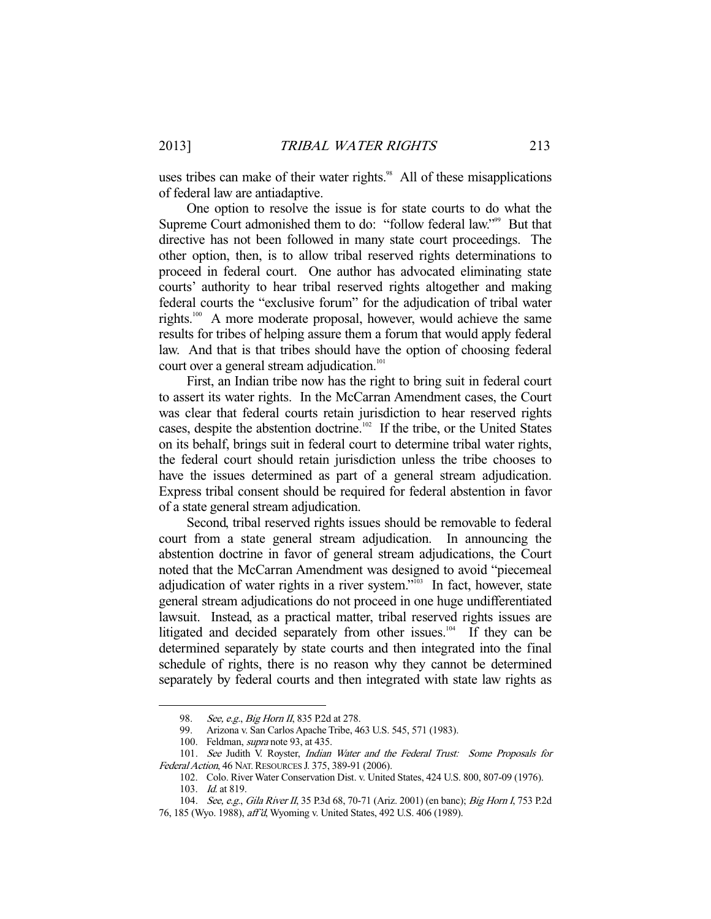uses tribes can make of their water rights.<sup>98</sup> All of these misapplications of federal law are antiadaptive.

 One option to resolve the issue is for state courts to do what the Supreme Court admonished them to do: "follow federal law."<sup>99</sup> But that directive has not been followed in many state court proceedings. The other option, then, is to allow tribal reserved rights determinations to proceed in federal court. One author has advocated eliminating state courts' authority to hear tribal reserved rights altogether and making federal courts the "exclusive forum" for the adjudication of tribal water rights.100 A more moderate proposal, however, would achieve the same results for tribes of helping assure them a forum that would apply federal law. And that is that tribes should have the option of choosing federal court over a general stream adjudication.<sup>101</sup>

 First, an Indian tribe now has the right to bring suit in federal court to assert its water rights. In the McCarran Amendment cases, the Court was clear that federal courts retain jurisdiction to hear reserved rights cases, despite the abstention doctrine.102 If the tribe, or the United States on its behalf, brings suit in federal court to determine tribal water rights, the federal court should retain jurisdiction unless the tribe chooses to have the issues determined as part of a general stream adjudication. Express tribal consent should be required for federal abstention in favor of a state general stream adjudication.

 Second, tribal reserved rights issues should be removable to federal court from a state general stream adjudication. In announcing the abstention doctrine in favor of general stream adjudications, the Court noted that the McCarran Amendment was designed to avoid "piecemeal adjudication of water rights in a river system."<sup>103</sup> In fact, however, state general stream adjudications do not proceed in one huge undifferentiated lawsuit. Instead, as a practical matter, tribal reserved rights issues are litigated and decided separately from other issues.<sup>104</sup> If they can be determined separately by state courts and then integrated into the final schedule of rights, there is no reason why they cannot be determined separately by federal courts and then integrated with state law rights as

<sup>98.</sup> See, e.g., Big Horn II, 835 P.2d at 278.<br>99. Arizona v. San Carlos Apache Tribe, 4

 <sup>99.</sup> Arizona v. San Carlos Apache Tribe, 463 U.S. 545, 571 (1983).

 <sup>100.</sup> Feldman, supra note 93, at 435.

<sup>101.</sup> See Judith V. Royster, *Indian Water and the Federal Trust: Some Proposals for* Federal Action, 46 NAT. RESOURCES J. 375, 389-91 (2006).

 <sup>102.</sup> Colo. River Water Conservation Dist. v. United States, 424 U.S. 800, 807-09 (1976).

 <sup>103.</sup> Id. at 819.

<sup>104.</sup> See, e.g., Gila River II, 35 P.3d 68, 70-71 (Ariz. 2001) (en banc); Big Horn I, 753 P.2d

<sup>76, 185 (</sup>Wyo. 1988), aff'd, Wyoming v. United States, 492 U.S. 406 (1989).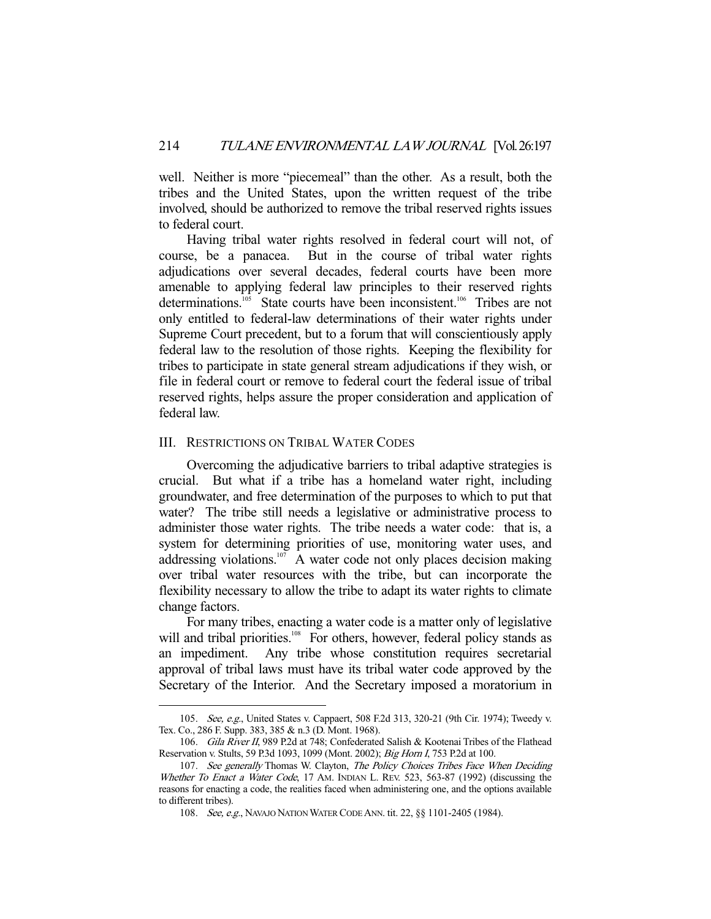well. Neither is more "piecemeal" than the other. As a result, both the tribes and the United States, upon the written request of the tribe involved, should be authorized to remove the tribal reserved rights issues to federal court.

 Having tribal water rights resolved in federal court will not, of course, be a panacea. But in the course of tribal water rights adjudications over several decades, federal courts have been more amenable to applying federal law principles to their reserved rights determinations.<sup>105</sup> State courts have been inconsistent.<sup>106</sup> Tribes are not only entitled to federal-law determinations of their water rights under Supreme Court precedent, but to a forum that will conscientiously apply federal law to the resolution of those rights. Keeping the flexibility for tribes to participate in state general stream adjudications if they wish, or file in federal court or remove to federal court the federal issue of tribal reserved rights, helps assure the proper consideration and application of federal law.

## III. RESTRICTIONS ON TRIBAL WATER CODES

-

 Overcoming the adjudicative barriers to tribal adaptive strategies is crucial. But what if a tribe has a homeland water right, including groundwater, and free determination of the purposes to which to put that water? The tribe still needs a legislative or administrative process to administer those water rights. The tribe needs a water code: that is, a system for determining priorities of use, monitoring water uses, and addressing violations.<sup>107</sup> A water code not only places decision making over tribal water resources with the tribe, but can incorporate the flexibility necessary to allow the tribe to adapt its water rights to climate change factors.

 For many tribes, enacting a water code is a matter only of legislative will and tribal priorities.<sup>108</sup> For others, however, federal policy stands as an impediment. Any tribe whose constitution requires secretarial approval of tribal laws must have its tribal water code approved by the Secretary of the Interior. And the Secretary imposed a moratorium in

<sup>105.</sup> See, e.g., United States v. Cappaert, 508 F.2d 313, 320-21 (9th Cir. 1974); Tweedy v. Tex. Co., 286 F. Supp. 383, 385 & n.3 (D. Mont. 1968).

<sup>106.</sup> Gila River II, 989 P.2d at 748; Confederated Salish & Kootenai Tribes of the Flathead Reservation v. Stults, 59 P.3d 1093, 1099 (Mont. 2002); Big Horn I, 753 P.2d at 100.

<sup>107.</sup> See generally Thomas W. Clayton, The Policy Choices Tribes Face When Deciding Whether To Enact a Water Code, 17 AM. INDIAN L. REV. 523, 563-87 (1992) (discussing the reasons for enacting a code, the realities faced when administering one, and the options available to different tribes).

<sup>108.</sup> See, e.g., NAVAJO NATION WATER CODE ANN. tit. 22, §§ 1101-2405 (1984).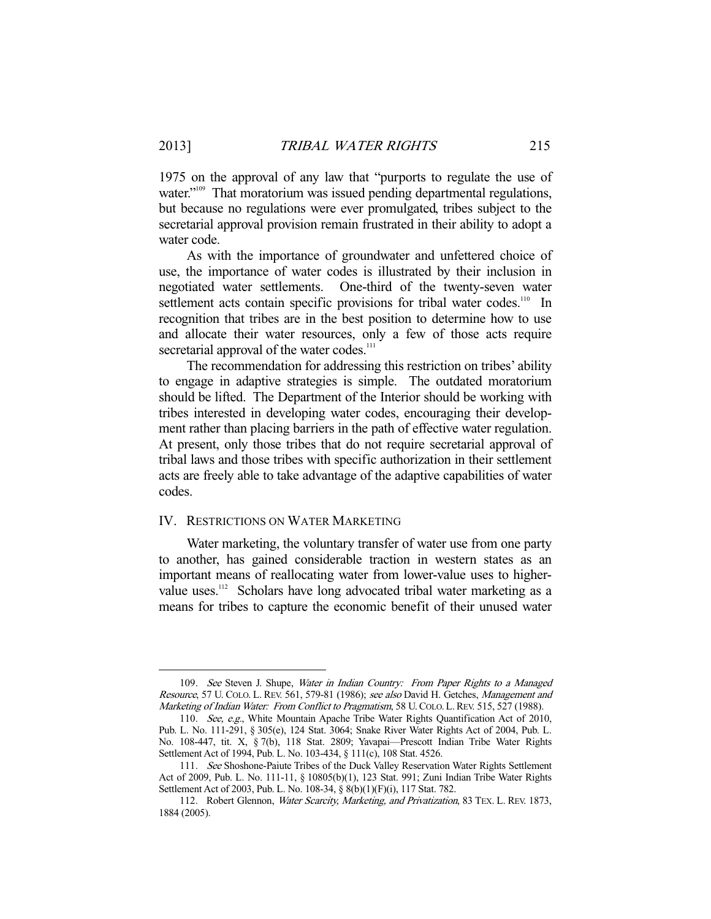1975 on the approval of any law that "purports to regulate the use of water."<sup>109</sup> That moratorium was issued pending departmental regulations, but because no regulations were ever promulgated, tribes subject to the secretarial approval provision remain frustrated in their ability to adopt a water code.

 As with the importance of groundwater and unfettered choice of use, the importance of water codes is illustrated by their inclusion in negotiated water settlements. One-third of the twenty-seven water settlement acts contain specific provisions for tribal water codes.<sup>110</sup> In recognition that tribes are in the best position to determine how to use and allocate their water resources, only a few of those acts require secretarial approval of the water codes.<sup>111</sup>

 The recommendation for addressing this restriction on tribes' ability to engage in adaptive strategies is simple. The outdated moratorium should be lifted. The Department of the Interior should be working with tribes interested in developing water codes, encouraging their development rather than placing barriers in the path of effective water regulation. At present, only those tribes that do not require secretarial approval of tribal laws and those tribes with specific authorization in their settlement acts are freely able to take advantage of the adaptive capabilities of water codes.

#### IV. RESTRICTIONS ON WATER MARKETING

 Water marketing, the voluntary transfer of water use from one party to another, has gained considerable traction in western states as an important means of reallocating water from lower-value uses to highervalue uses.<sup>112</sup> Scholars have long advocated tribal water marketing as a means for tribes to capture the economic benefit of their unused water

<sup>109.</sup> See Steven J. Shupe, Water in Indian Country: From Paper Rights to a Managed Resource, 57 U. COLO. L. REV. 561, 579-81 (1986); see also David H. Getches, Management and Marketing of Indian Water: From Conflict to Pragmatism, 58 U. COLO. L. REV. 515, 527 (1988).

 <sup>110.</sup> See, e.g., White Mountain Apache Tribe Water Rights Quantification Act of 2010, Pub. L. No. 111-291, § 305(e), 124 Stat. 3064; Snake River Water Rights Act of 2004, Pub. L. No. 108-447, tit. X, § 7(b), 118 Stat. 2809; Yavapai—Prescott Indian Tribe Water Rights Settlement Act of 1994, Pub. L. No. 103-434, § 111(c), 108 Stat. 4526.

 <sup>111.</sup> See Shoshone-Paiute Tribes of the Duck Valley Reservation Water Rights Settlement Act of 2009, Pub. L. No. 111-11, § 10805(b)(1), 123 Stat. 991; Zuni Indian Tribe Water Rights Settlement Act of 2003, Pub. L. No. 108-34, § 8(b)(1)(F)(i), 117 Stat. 782.

<sup>112.</sup> Robert Glennon, Water Scarcity, Marketing, and Privatization, 83 TEX. L. REV. 1873, 1884 (2005).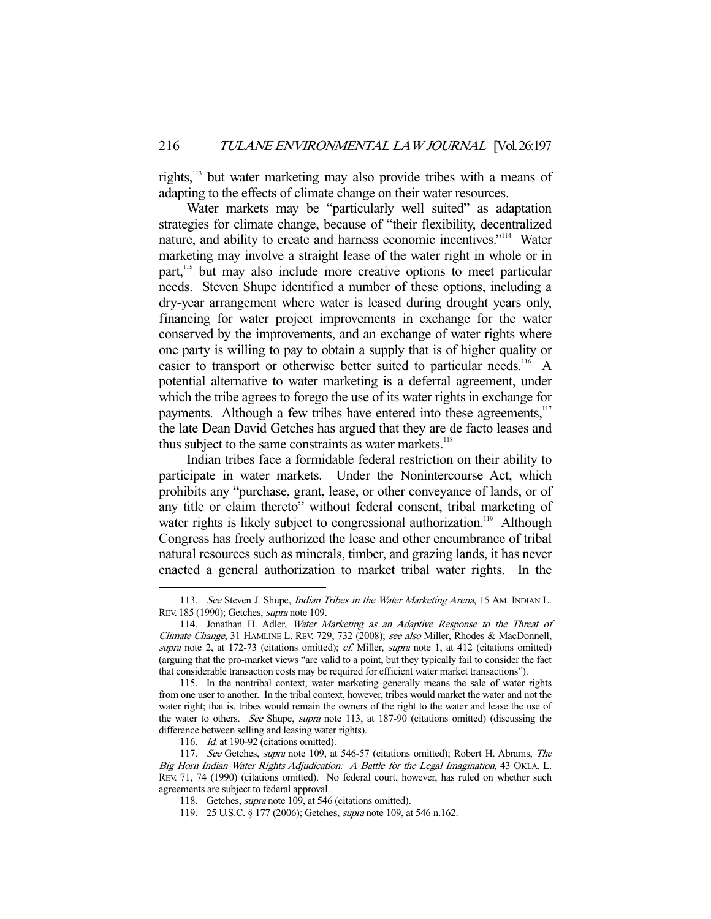rights,113 but water marketing may also provide tribes with a means of adapting to the effects of climate change on their water resources.

Water markets may be "particularly well suited" as adaptation strategies for climate change, because of "their flexibility, decentralized nature, and ability to create and harness economic incentives."114 Water marketing may involve a straight lease of the water right in whole or in part,<sup>115</sup> but may also include more creative options to meet particular needs. Steven Shupe identified a number of these options, including a dry-year arrangement where water is leased during drought years only, financing for water project improvements in exchange for the water conserved by the improvements, and an exchange of water rights where one party is willing to pay to obtain a supply that is of higher quality or easier to transport or otherwise better suited to particular needs.<sup>116</sup> A potential alternative to water marketing is a deferral agreement, under which the tribe agrees to forego the use of its water rights in exchange for payments. Although a few tribes have entered into these agreements,<sup>117</sup> the late Dean David Getches has argued that they are de facto leases and thus subject to the same constraints as water markets.<sup>118</sup>

 Indian tribes face a formidable federal restriction on their ability to participate in water markets. Under the Nonintercourse Act, which prohibits any "purchase, grant, lease, or other conveyance of lands, or of any title or claim thereto" without federal consent, tribal marketing of water rights is likely subject to congressional authorization.<sup>119</sup> Although Congress has freely authorized the lease and other encumbrance of tribal natural resources such as minerals, timber, and grazing lands, it has never enacted a general authorization to market tribal water rights. In the

<sup>113.</sup> See Steven J. Shupe, *Indian Tribes in the Water Marketing Arena*, 15 AM. INDIAN L. REV. 185 (1990); Getches, supra note 109.

<sup>114.</sup> Jonathan H. Adler, Water Marketing as an Adaptive Response to the Threat of Climate Change, 31 HAMLINE L. REV. 729, 732 (2008); see also Miller, Rhodes & MacDonnell, supra note 2, at 172-73 (citations omitted); cf. Miller, supra note 1, at 412 (citations omitted) (arguing that the pro-market views "are valid to a point, but they typically fail to consider the fact that considerable transaction costs may be required for efficient water market transactions").

 <sup>115.</sup> In the nontribal context, water marketing generally means the sale of water rights from one user to another. In the tribal context, however, tribes would market the water and not the water right; that is, tribes would remain the owners of the right to the water and lease the use of the water to others. See Shupe, supra note 113, at 187-90 (citations omitted) (discussing the difference between selling and leasing water rights).

 <sup>116.</sup> Id. at 190-92 (citations omitted).

 <sup>117.</sup> See Getches, supra note 109, at 546-57 (citations omitted); Robert H. Abrams, The Big Horn Indian Water Rights Adjudication: A Battle for the Legal Imagination, 43 OKLA. L. REV. 71, 74 (1990) (citations omitted). No federal court, however, has ruled on whether such agreements are subject to federal approval.

 <sup>118.</sup> Getches, supra note 109, at 546 (citations omitted).

 <sup>119. 25</sup> U.S.C. § 177 (2006); Getches, supra note 109, at 546 n.162.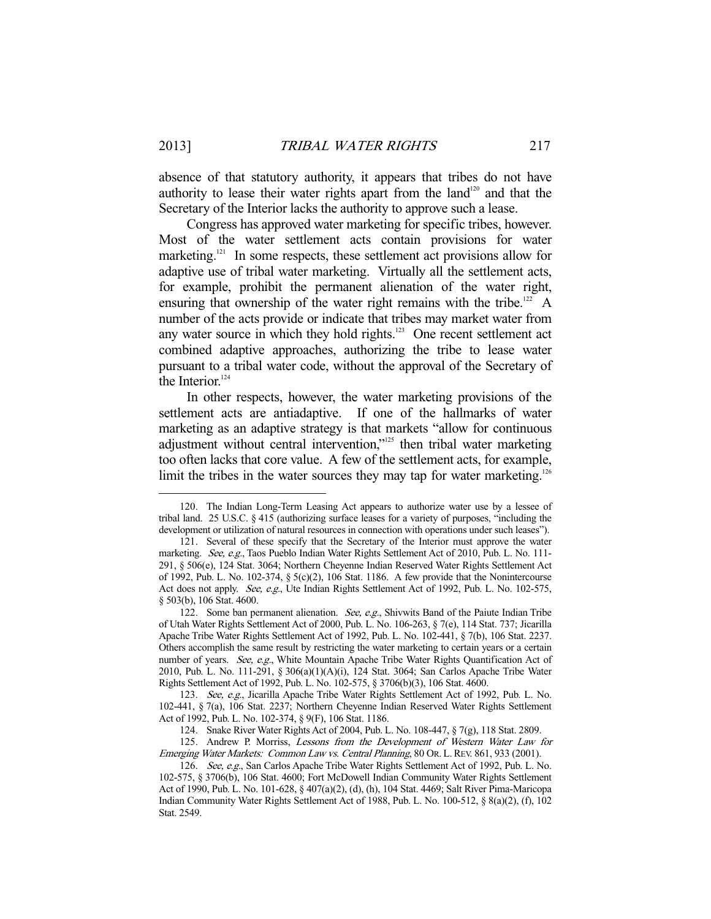absence of that statutory authority, it appears that tribes do not have authority to lease their water rights apart from the land<sup>120</sup> and that the Secretary of the Interior lacks the authority to approve such a lease.

 Congress has approved water marketing for specific tribes, however. Most of the water settlement acts contain provisions for water marketing.<sup>121</sup> In some respects, these settlement act provisions allow for adaptive use of tribal water marketing. Virtually all the settlement acts, for example, prohibit the permanent alienation of the water right, ensuring that ownership of the water right remains with the tribe.<sup>122</sup> A number of the acts provide or indicate that tribes may market water from any water source in which they hold rights. $123$  One recent settlement act combined adaptive approaches, authorizing the tribe to lease water pursuant to a tribal water code, without the approval of the Secretary of the Interior. $124$ 

 In other respects, however, the water marketing provisions of the settlement acts are antiadaptive. If one of the hallmarks of water marketing as an adaptive strategy is that markets "allow for continuous adjustment without central intervention,"<sup>125</sup> then tribal water marketing too often lacks that core value. A few of the settlement acts, for example, limit the tribes in the water sources they may tap for water marketing.<sup>126</sup>

 <sup>120.</sup> The Indian Long-Term Leasing Act appears to authorize water use by a lessee of tribal land. 25 U.S.C. § 415 (authorizing surface leases for a variety of purposes, "including the development or utilization of natural resources in connection with operations under such leases").

 <sup>121.</sup> Several of these specify that the Secretary of the Interior must approve the water marketing. See, e.g., Taos Pueblo Indian Water Rights Settlement Act of 2010, Pub. L. No. 111-291, § 506(e), 124 Stat. 3064; Northern Cheyenne Indian Reserved Water Rights Settlement Act of 1992, Pub. L. No. 102-374, § 5(c)(2), 106 Stat. 1186. A few provide that the Nonintercourse Act does not apply. See, e.g., Ute Indian Rights Settlement Act of 1992, Pub. L. No. 102-575, § 503(b), 106 Stat. 4600.

<sup>122.</sup> Some ban permanent alienation. See, e.g., Shivwits Band of the Paiute Indian Tribe of Utah Water Rights Settlement Act of 2000, Pub. L. No. 106-263, § 7(e), 114 Stat. 737; Jicarilla Apache Tribe Water Rights Settlement Act of 1992, Pub. L. No. 102-441, § 7(b), 106 Stat. 2237. Others accomplish the same result by restricting the water marketing to certain years or a certain number of years. See, e.g., White Mountain Apache Tribe Water Rights Quantification Act of 2010, Pub. L. No. 111-291, § 306(a)(1)(A)(i), 124 Stat. 3064; San Carlos Apache Tribe Water Rights Settlement Act of 1992, Pub. L. No. 102-575, § 3706(b)(3), 106 Stat. 4600.

 <sup>123.</sup> See, e.g., Jicarilla Apache Tribe Water Rights Settlement Act of 1992, Pub. L. No. 102-441, § 7(a), 106 Stat. 2237; Northern Cheyenne Indian Reserved Water Rights Settlement Act of 1992, Pub. L. No. 102-374, § 9(F), 106 Stat. 1186.

 <sup>124.</sup> Snake River Water Rights Act of 2004, Pub. L. No. 108-447, § 7(g), 118 Stat. 2809.

 <sup>125.</sup> Andrew P. Morriss, Lessons from the Development of Western Water Law for Emerging Water Markets: Common Law vs. Central Planning, 80 OR. L.REV. 861, 933 (2001).

<sup>126.</sup> See, e.g., San Carlos Apache Tribe Water Rights Settlement Act of 1992, Pub. L. No. 102-575, § 3706(b), 106 Stat. 4600; Fort McDowell Indian Community Water Rights Settlement Act of 1990, Pub. L. No. 101-628, § 407(a)(2), (d), (h), 104 Stat. 4469; Salt River Pima-Maricopa Indian Community Water Rights Settlement Act of 1988, Pub. L. No. 100-512, § 8(a)(2), (f), 102 Stat. 2549.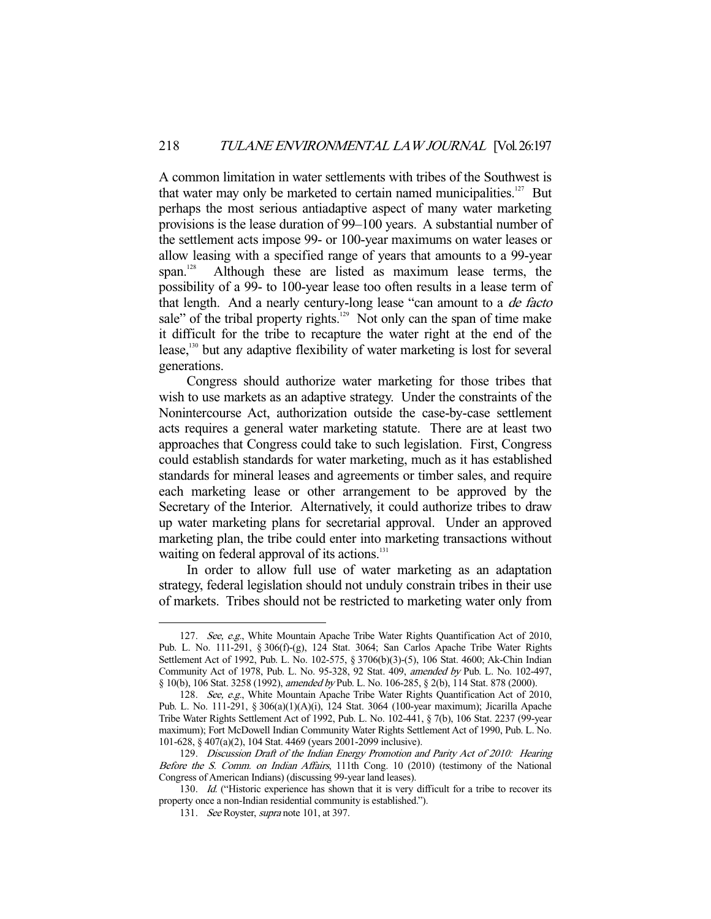A common limitation in water settlements with tribes of the Southwest is that water may only be marketed to certain named municipalities.<sup>127</sup> But perhaps the most serious antiadaptive aspect of many water marketing provisions is the lease duration of 99–100 years. A substantial number of the settlement acts impose 99- or 100-year maximums on water leases or allow leasing with a specified range of years that amounts to a 99-year span.<sup>128</sup> Although these are listed as maximum lease terms, the possibility of a 99- to 100-year lease too often results in a lease term of that length. And a nearly century-long lease "can amount to a de facto sale" of the tribal property rights.<sup>129</sup> Not only can the span of time make it difficult for the tribe to recapture the water right at the end of the lease,<sup>130</sup> but any adaptive flexibility of water marketing is lost for several generations.

 Congress should authorize water marketing for those tribes that wish to use markets as an adaptive strategy. Under the constraints of the Nonintercourse Act, authorization outside the case-by-case settlement acts requires a general water marketing statute. There are at least two approaches that Congress could take to such legislation. First, Congress could establish standards for water marketing, much as it has established standards for mineral leases and agreements or timber sales, and require each marketing lease or other arrangement to be approved by the Secretary of the Interior. Alternatively, it could authorize tribes to draw up water marketing plans for secretarial approval. Under an approved marketing plan, the tribe could enter into marketing transactions without waiting on federal approval of its actions.<sup>131</sup>

 In order to allow full use of water marketing as an adaptation strategy, federal legislation should not unduly constrain tribes in their use of markets. Tribes should not be restricted to marketing water only from

<sup>127.</sup> See, e.g., White Mountain Apache Tribe Water Rights Quantification Act of 2010, Pub. L. No. 111-291, § 306(f)-(g), 124 Stat. 3064; San Carlos Apache Tribe Water Rights Settlement Act of 1992, Pub. L. No. 102-575, § 3706(b)(3)-(5), 106 Stat. 4600; Ak-Chin Indian Community Act of 1978, Pub. L. No. 95-328, 92 Stat. 409, amended by Pub. L. No. 102-497, § 10(b), 106 Stat. 3258 (1992), amended by Pub. L. No. 106-285, § 2(b), 114 Stat. 878 (2000).

 <sup>128.</sup> See, e.g., White Mountain Apache Tribe Water Rights Quantification Act of 2010, Pub. L. No. 111-291, § 306(a)(1)(A)(i), 124 Stat. 3064 (100-year maximum); Jicarilla Apache Tribe Water Rights Settlement Act of 1992, Pub. L. No. 102-441, § 7(b), 106 Stat. 2237 (99-year maximum); Fort McDowell Indian Community Water Rights Settlement Act of 1990, Pub. L. No. 101-628, § 407(a)(2), 104 Stat. 4469 (years 2001-2099 inclusive).

 <sup>129.</sup> Discussion Draft of the Indian Energy Promotion and Parity Act of 2010: Hearing Before the S. Comm. on Indian Affairs, 111th Cong. 10 (2010) (testimony of the National Congress of American Indians) (discussing 99-year land leases).

<sup>130.</sup> Id. ("Historic experience has shown that it is very difficult for a tribe to recover its property once a non-Indian residential community is established.").

<sup>131.</sup> See Royster, *supra* note 101, at 397.